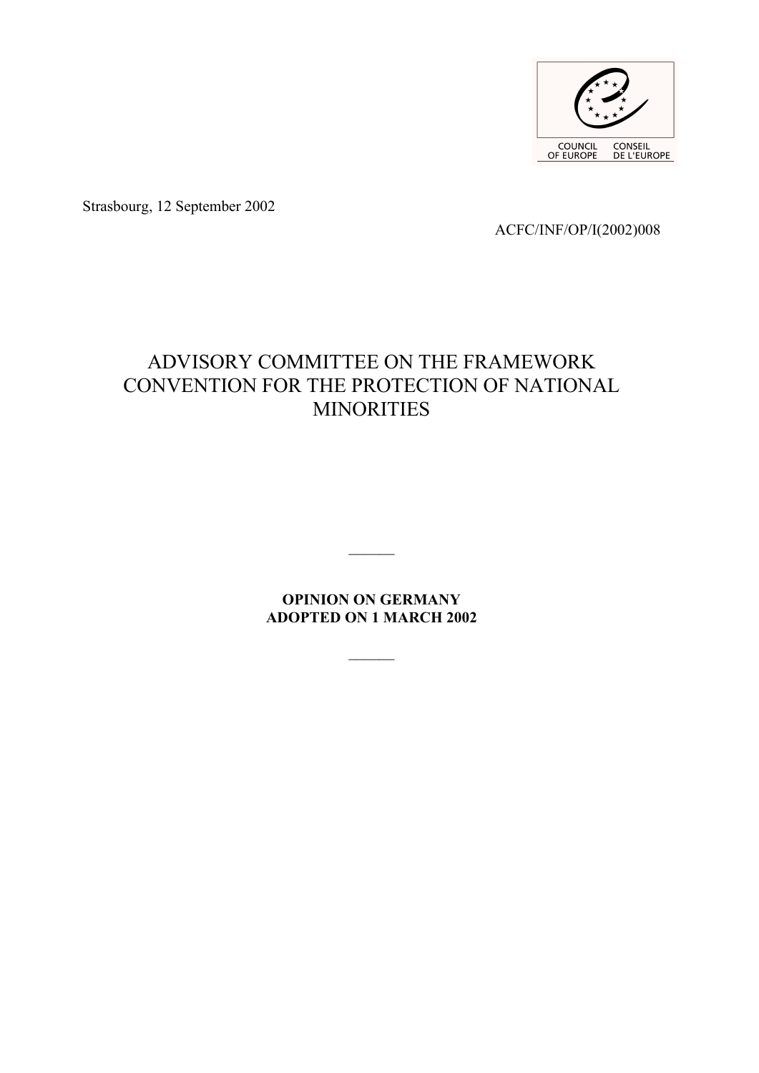

Strasbourg, 12 September 2002

ACFC/INF/OP/I(2002)008

# ADVISORY COMMITTEE ON THE FRAMEWORK CONVENTION FOR THE PROTECTION OF NATIONAL MINORITIES

**OPINION ON GERMANY ADOPTED ON 1 MARCH 2002**

 $\frac{1}{2}$ 

 $\frac{1}{2}$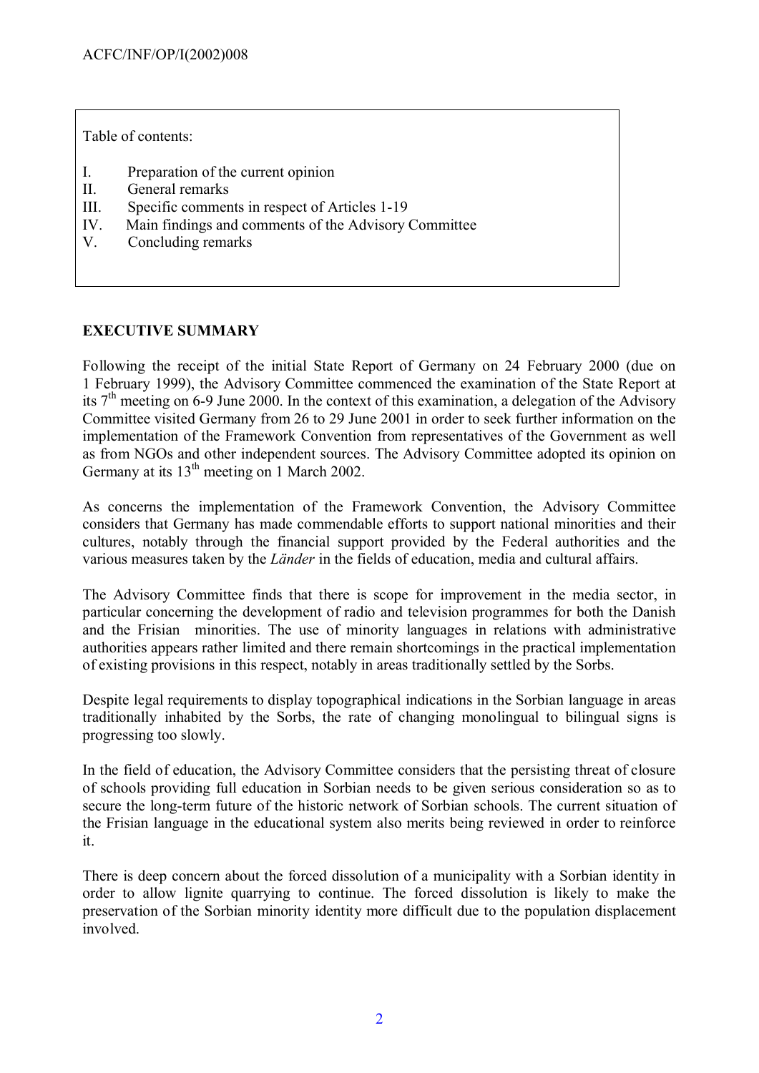Table of contents:

- I. Preparation of the current opinion
- II. General remarks
- III. Specific comments in respect of Articles 1-19
- IV. Main findings and comments of the Advisory Committee
- V. Concluding remarks

## **EXECUTIVE SUMMARY**

Following the receipt of the initial State Report of Germany on 24 February 2000 (due on 1 February 1999), the Advisory Committee commenced the examination of the State Report at its  $7<sup>th</sup>$  meeting on 6-9 June 2000. In the context of this examination, a delegation of the Advisory Committee visited Germany from 26 to 29 June 2001 in order to seek further information on the implementation of the Framework Convention from representatives of the Government as well as from NGOs and other independent sources. The Advisory Committee adopted its opinion on Germany at its 13<sup>th</sup> meeting on 1 March 2002.

As concerns the implementation of the Framework Convention, the Advisory Committee considers that Germany has made commendable efforts to support national minorities and their cultures, notably through the financial support provided by the Federal authorities and the various measures taken by the *Länder* in the fields of education, media and cultural affairs.

The Advisory Committee finds that there is scope for improvement in the media sector, in particular concerning the development of radio and television programmes for both the Danish and the Frisian minorities. The use of minority languages in relations with administrative authorities appears rather limited and there remain shortcomings in the practical implementation of existing provisions in this respect, notably in areas traditionally settled by the Sorbs.

Despite legal requirements to display topographical indications in the Sorbian language in areas traditionally inhabited by the Sorbs, the rate of changing monolingual to bilingual signs is progressing too slowly.

In the field of education, the Advisory Committee considers that the persisting threat of closure of schools providing full education in Sorbian needs to be given serious consideration so as to secure the long-term future of the historic network of Sorbian schools. The current situation of the Frisian language in the educational system also merits being reviewed in order to reinforce it.

There is deep concern about the forced dissolution of a municipality with a Sorbian identity in order to allow lignite quarrying to continue. The forced dissolution is likely to make the preservation of the Sorbian minority identity more difficult due to the population displacement involved.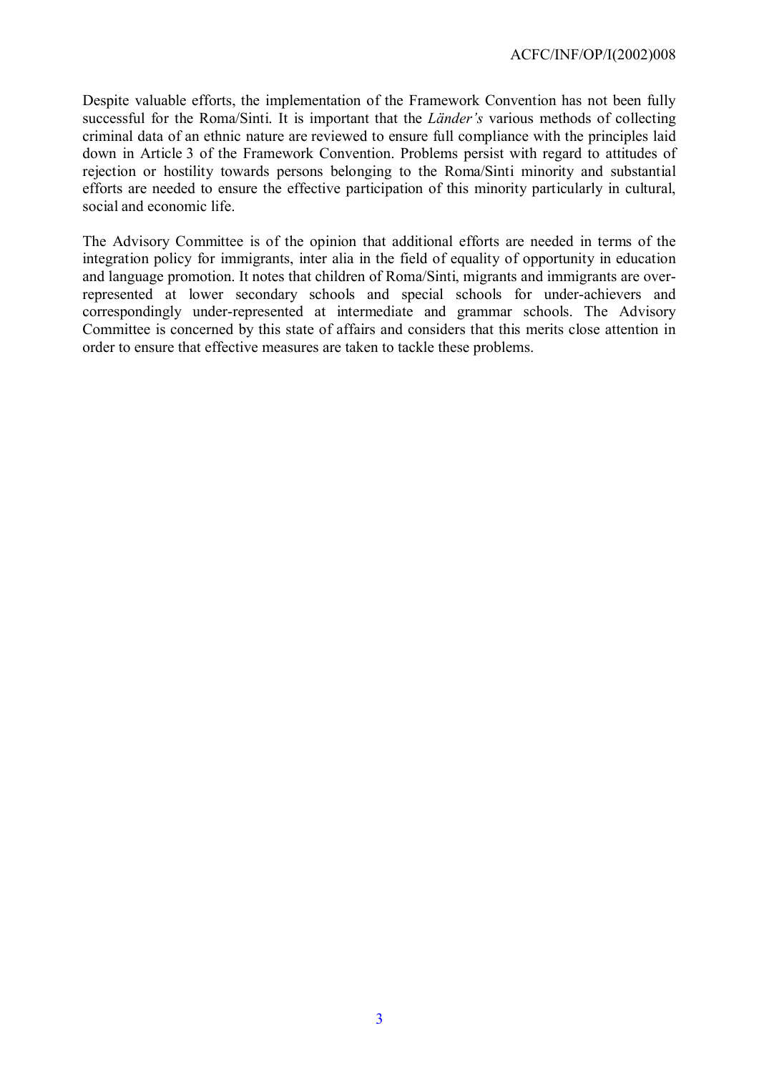Despite valuable efforts, the implementation of the Framework Convention has not been fully successful for the Roma/Sinti. It is important that the *Länder's* various methods of collecting criminal data of an ethnic nature are reviewed to ensure full compliance with the principles laid down in Article 3 of the Framework Convention. Problems persist with regard to attitudes of rejection or hostility towards persons belonging to the Roma/Sinti minority and substantial efforts are needed to ensure the effective participation of this minority particularly in cultural, social and economic life.

The Advisory Committee is of the opinion that additional efforts are needed in terms of the integration policy for immigrants, inter alia in the field of equality of opportunity in education and language promotion. It notes that children of Roma/Sinti, migrants and immigrants are overrepresented at lower secondary schools and special schools for under-achievers and correspondingly under-represented at intermediate and grammar schools. The Advisory Committee is concerned by this state of affairs and considers that this merits close attention in order to ensure that effective measures are taken to tackle these problems.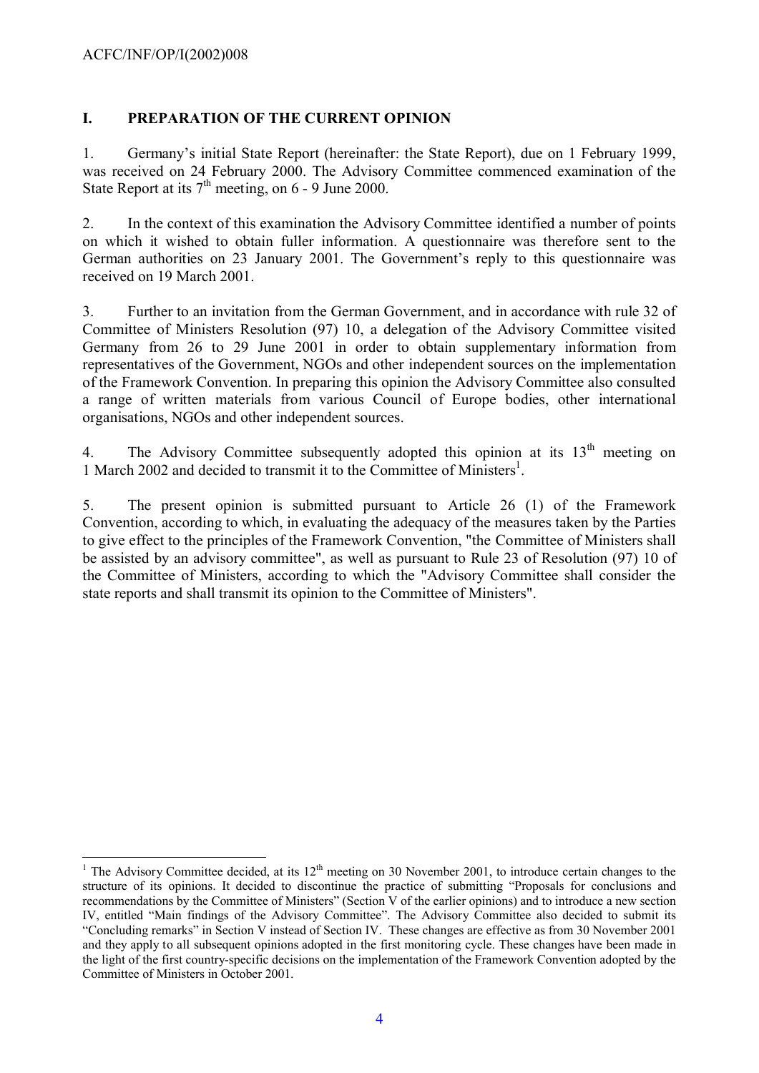#### **I. PREPARATION OF THE CURRENT OPINION**

1. Germany's initial State Report (hereinafter: the State Report), due on 1 February 1999, was received on 24 February 2000. The Advisory Committee commenced examination of the State Report at its  $7<sup>th</sup>$  meeting, on 6 - 9 June 2000.

2. In the context of this examination the Advisory Committee identified a number of points on which it wished to obtain fuller information. A questionnaire was therefore sent to the German authorities on 23 January 2001. The Government's reply to this questionnaire was received on 19 March 2001.

3. Further to an invitation from the German Government, and in accordance with rule 32 of Committee of Ministers Resolution (97) 10, a delegation of the Advisory Committee visited Germany from 26 to 29 June 2001 in order to obtain supplementary information from representatives of the Government, NGOs and other independent sources on the implementation of the Framework Convention. In preparing this opinion the Advisory Committee also consulted a range of written materials from various Council of Europe bodies, other international organisations, NGOs and other independent sources.

4. The Advisory Committee subsequently adopted this opinion at its  $13<sup>th</sup>$  meeting on [1](#page-3-0) March 2002 and decided to transmit it to the Committee of Ministers<sup>1</sup>.

5. The present opinion is submitted pursuant to Article 26 (1) of the Framework Convention, according to which, in evaluating the adequacy of the measures taken by the Parties to give effect to the principles of the Framework Convention, "the Committee of Ministers shall be assisted by an advisory committee", as well as pursuant to Rule 23 of Resolution (97) 10 of the Committee of Ministers, according to which the "Advisory Committee shall consider the state reports and shall transmit its opinion to the Committee of Ministers".

<span id="page-3-0"></span> $\overline{a}$ <sup>1</sup> The Advisory Committee decided, at its  $12<sup>th</sup>$  meeting on 30 November 2001, to introduce certain changes to the structure of its opinions. It decided to discontinue the practice of submitting "Proposals for conclusions and recommendations by the Committee of Ministers" (Section V of the earlier opinions) and to introduce a new section IV, entitled "Main findings of the Advisory Committee". The Advisory Committee also decided to submit its "Concluding remarks" in Section V instead of Section IV. These changes are effective as from 30 November 2001 and they apply to all subsequent opinions adopted in the first monitoring cycle. These changes have been made in the light of the first country-specific decisions on the implementation of the Framework Convention adopted by the Committee of Ministers in October 2001.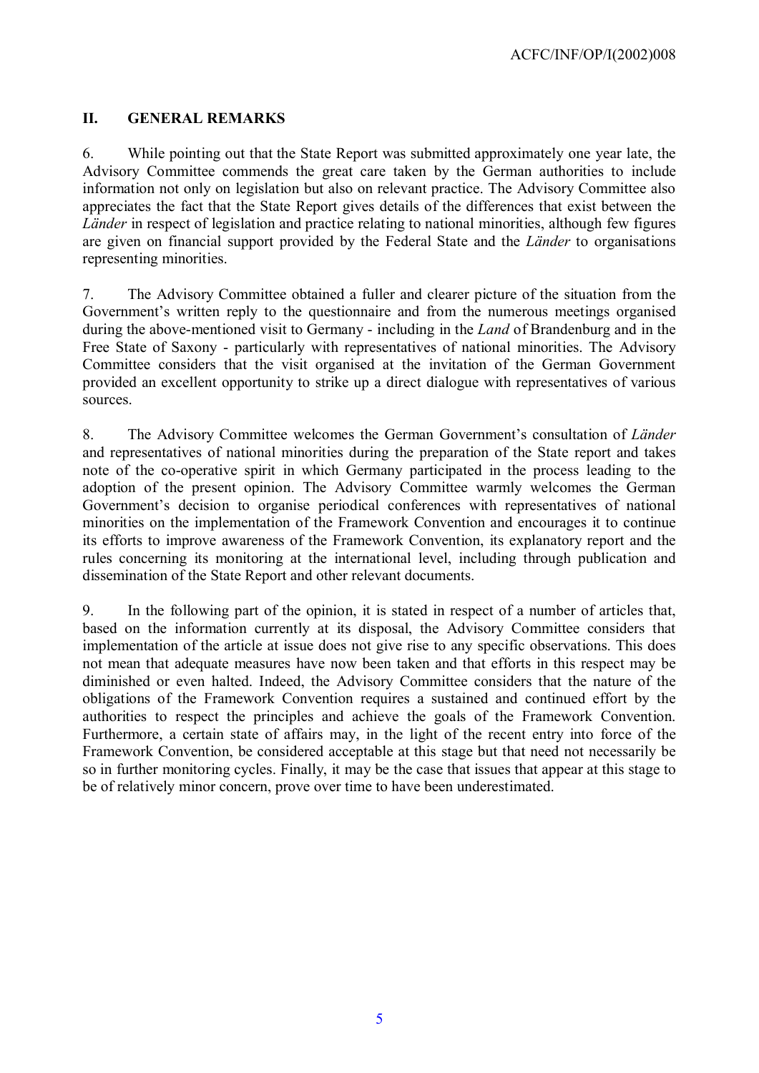## **II. GENERAL REMARKS**

6. While pointing out that the State Report was submitted approximately one year late, the Advisory Committee commends the great care taken by the German authorities to include information not only on legislation but also on relevant practice. The Advisory Committee also appreciates the fact that the State Report gives details of the differences that exist between the *Länder* in respect of legislation and practice relating to national minorities, although few figures are given on financial support provided by the Federal State and the *Länder* to organisations representing minorities.

7. The Advisory Committee obtained a fuller and clearer picture of the situation from the Government's written reply to the questionnaire and from the numerous meetings organised during the above-mentioned visit to Germany - including in the *Land* of Brandenburg and in the Free State of Saxony - particularly with representatives of national minorities. The Advisory Committee considers that the visit organised at the invitation of the German Government provided an excellent opportunity to strike up a direct dialogue with representatives of various sources.

8. The Advisory Committee welcomes the German Government's consultation of *Länder* and representatives of national minorities during the preparation of the State report and takes note of the co-operative spirit in which Germany participated in the process leading to the adoption of the present opinion. The Advisory Committee warmly welcomes the German Government's decision to organise periodical conferences with representatives of national minorities on the implementation of the Framework Convention and encourages it to continue its efforts to improve awareness of the Framework Convention, its explanatory report and the rules concerning its monitoring at the international level, including through publication and dissemination of the State Report and other relevant documents.

9. In the following part of the opinion, it is stated in respect of a number of articles that, based on the information currently at its disposal, the Advisory Committee considers that implementation of the article at issue does not give rise to any specific observations. This does not mean that adequate measures have now been taken and that efforts in this respect may be diminished or even halted. Indeed, the Advisory Committee considers that the nature of the obligations of the Framework Convention requires a sustained and continued effort by the authorities to respect the principles and achieve the goals of the Framework Convention. Furthermore, a certain state of affairs may, in the light of the recent entry into force of the Framework Convention, be considered acceptable at this stage but that need not necessarily be so in further monitoring cycles. Finally, it may be the case that issues that appear at this stage to be of relatively minor concern, prove over time to have been underestimated.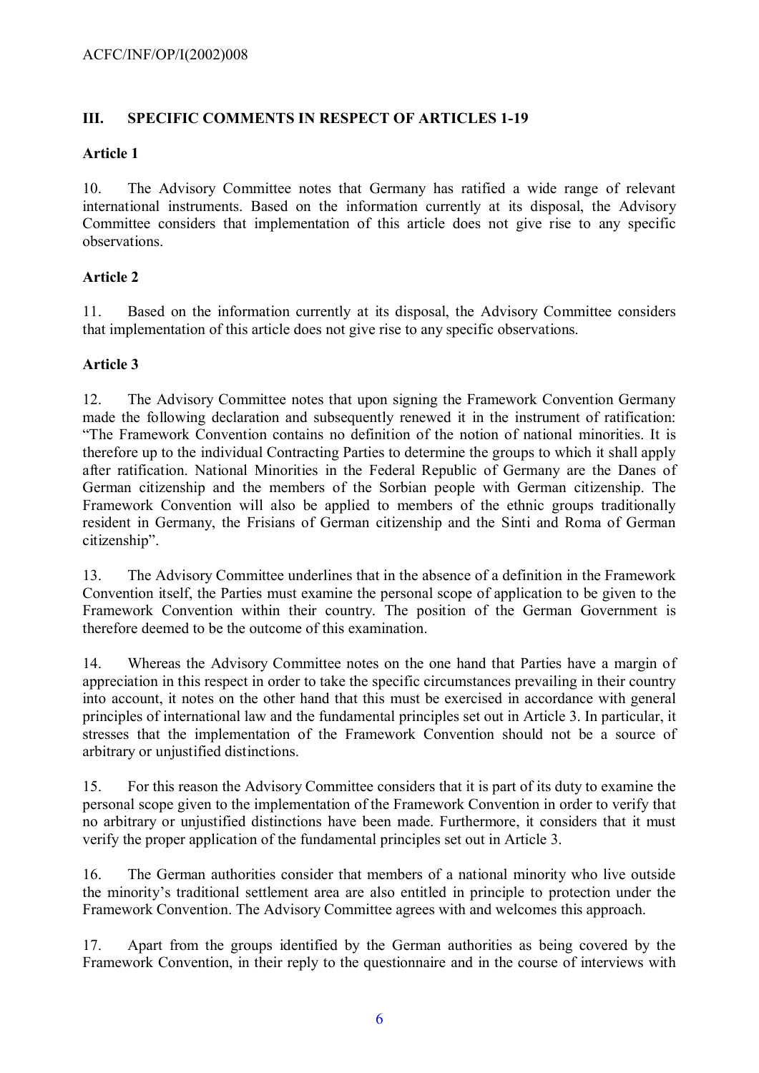#### **III. SPECIFIC COMMENTS IN RESPECT OF ARTICLES 1-19**

#### **Article 1**

10. The Advisory Committee notes that Germany has ratified a wide range of relevant international instruments. Based on the information currently at its disposal, the Advisory Committee considers that implementation of this article does not give rise to any specific observations.

## **Article 2**

11. Based on the information currently at its disposal, the Advisory Committee considers that implementation of this article does not give rise to any specific observations.

## **Article 3**

12. The Advisory Committee notes that upon signing the Framework Convention Germany made the following declaration and subsequently renewed it in the instrument of ratification: "The Framework Convention contains no definition of the notion of national minorities. It is therefore up to the individual Contracting Parties to determine the groups to which it shall apply after ratification. National Minorities in the Federal Republic of Germany are the Danes of German citizenship and the members of the Sorbian people with German citizenship. The Framework Convention will also be applied to members of the ethnic groups traditionally resident in Germany, the Frisians of German citizenship and the Sinti and Roma of German citizenship".

13. The Advisory Committee underlines that in the absence of a definition in the Framework Convention itself, the Parties must examine the personal scope of application to be given to the Framework Convention within their country. The position of the German Government is therefore deemed to be the outcome of this examination.

14. Whereas the Advisory Committee notes on the one hand that Parties have a margin of appreciation in this respect in order to take the specific circumstances prevailing in their country into account, it notes on the other hand that this must be exercised in accordance with general principles of international law and the fundamental principles set out in Article 3. In particular, it stresses that the implementation of the Framework Convention should not be a source of arbitrary or unjustified distinctions.

15. For this reason the Advisory Committee considers that it is part of its duty to examine the personal scope given to the implementation of the Framework Convention in order to verify that no arbitrary or unjustified distinctions have been made. Furthermore, it considers that it must verify the proper application of the fundamental principles set out in Article 3.

16. The German authorities consider that members of a national minority who live outside the minority's traditional settlement area are also entitled in principle to protection under the Framework Convention. The Advisory Committee agrees with and welcomes this approach.

17. Apart from the groups identified by the German authorities as being covered by the Framework Convention, in their reply to the questionnaire and in the course of interviews with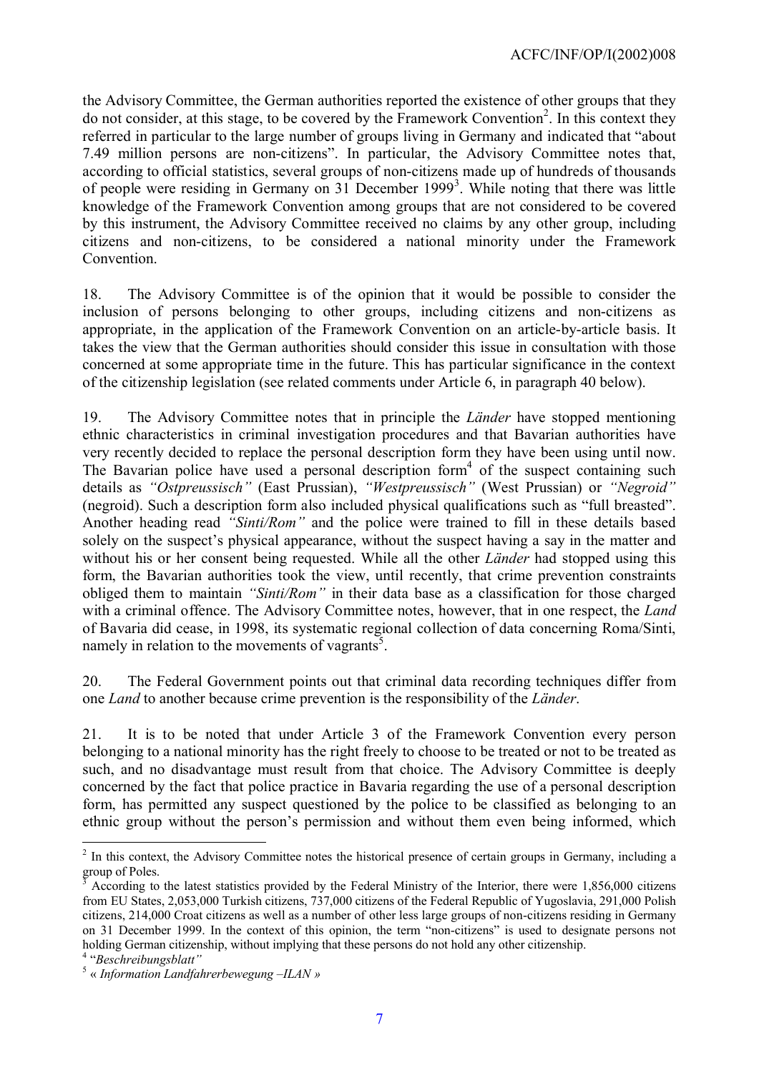the Advisory Committee, the German authorities reported the existence of other groups that they do not consider, at this stage, to be covered by the Framework Convention<sup>[2](#page-6-0)</sup>. In this context they referred in particular to the large number of groups living in Germany and indicated that "about 7.49 million persons are non-citizens". In particular, the Advisory Committee notes that, according to official statistics, several groups of non-citizens made up of hundreds of thousands of people were residing in Germany on [3](#page-6-1)1 December 1999<sup>3</sup>. While noting that there was little knowledge of the Framework Convention among groups that are not considered to be covered by this instrument, the Advisory Committee received no claims by any other group, including citizens and non-citizens, to be considered a national minority under the Framework Convention.

18. The Advisory Committee is of the opinion that it would be possible to consider the inclusion of persons belonging to other groups, including citizens and non-citizens as appropriate, in the application of the Framework Convention on an article-by-article basis. It takes the view that the German authorities should consider this issue in consultation with those concerned at some appropriate time in the future. This has particular significance in the context of the citizenship legislation (see related comments under Article 6, in paragraph 40 below).

19. The Advisory Committee notes that in principle the *Länder* have stopped mentioning ethnic characteristics in criminal investigation procedures and that Bavarian authorities have very recently decided to replace the personal description form they have been using until now. The Bavarian police have used a personal description form<sup>[4](#page-6-2)</sup> of the suspect containing such details as *"Ostpreussisch"* (East Prussian), *"Westpreussisch"* (West Prussian) or *"Negroid"* (negroid). Such a description form also included physical qualifications such as "full breasted". Another heading read *"Sinti/Rom"* and the police were trained to fill in these details based solely on the suspect's physical appearance, without the suspect having a say in the matter and without his or her consent being requested. While all the other *Länder* had stopped using this form, the Bavarian authorities took the view, until recently, that crime prevention constraints obliged them to maintain *"Sinti/Rom"* in their data base as a classification for those charged with a criminal offence. The Advisory Committee notes, however, that in one respect, the *Land* of Bavaria did cease, in 1998, its systematic regional collection of data concerning Roma/Sinti, namely in relation to the movements of vagrants<sup>[5](#page-6-3)</sup>.

20. The Federal Government points out that criminal data recording techniques differ from one *Land* to another because crime prevention is the responsibility of the *Länder*.

21. It is to be noted that under Article 3 of the Framework Convention every person belonging to a national minority has the right freely to choose to be treated or not to be treated as such, and no disadvantage must result from that choice. The Advisory Committee is deeply concerned by the fact that police practice in Bavaria regarding the use of a personal description form, has permitted any suspect questioned by the police to be classified as belonging to an ethnic group without the person's permission and without them even being informed, which

<span id="page-6-0"></span> $\overline{a}$  $2$  In this context, the Advisory Committee notes the historical presence of certain groups in Germany, including a group of Poles.

<span id="page-6-1"></span><sup>3</sup> According to the latest statistics provided by the Federal Ministry of the Interior, there were 1,856,000 citizens from EU States, 2,053,000 Turkish citizens, 737,000 citizens of the Federal Republic of Yugoslavia, 291,000 Polish citizens, 214,000 Croat citizens as well as a number of other less large groups of non-citizens residing in Germany on 31 December 1999. In the context of this opinion, the term "non-citizens" is used to designate persons not holding German citizenship, without implying that these persons do not hold any other citizenship.

<span id="page-6-3"></span><span id="page-6-2"></span><sup>4</sup> "*Beschreibungsblatt"*

<sup>5</sup> « *Information Landfahrerbewegung –ILAN »*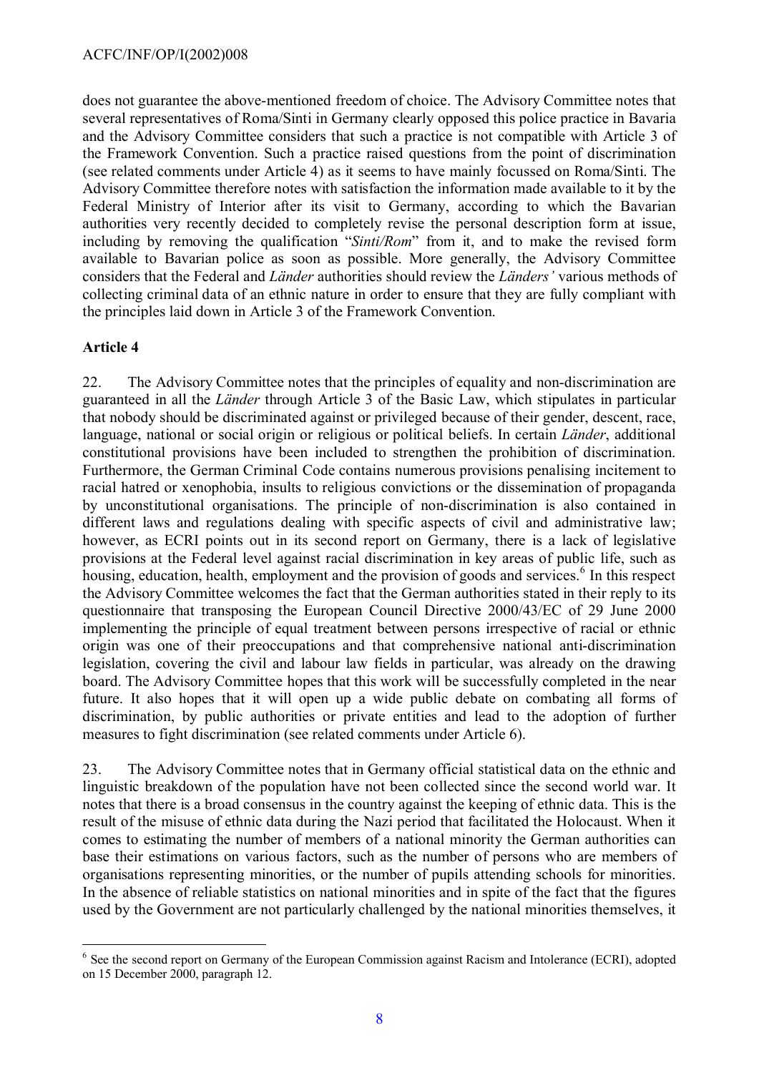does not guarantee the above-mentioned freedom of choice. The Advisory Committee notes that several representatives of Roma/Sinti in Germany clearly opposed this police practice in Bavaria and the Advisory Committee considers that such a practice is not compatible with Article 3 of the Framework Convention. Such a practice raised questions from the point of discrimination (see related comments under Article 4) as it seems to have mainly focussed on Roma/Sinti. The Advisory Committee therefore notes with satisfaction the information made available to it by the Federal Ministry of Interior after its visit to Germany, according to which the Bavarian authorities very recently decided to completely revise the personal description form at issue, including by removing the qualification "*Sinti/Rom*" from it, and to make the revised form available to Bavarian police as soon as possible. More generally, the Advisory Committee considers that the Federal and *Länder* authorities should review the *Länders'* various methods of collecting criminal data of an ethnic nature in order to ensure that they are fully compliant with the principles laid down in Article 3 of the Framework Convention.

## **Article 4**

 $\overline{a}$ 

22. The Advisory Committee notes that the principles of equality and non-discrimination are guaranteed in all the *Länder* through Article 3 of the Basic Law, which stipulates in particular that nobody should be discriminated against or privileged because of their gender, descent, race, language, national or social origin or religious or political beliefs. In certain *Länder*, additional constitutional provisions have been included to strengthen the prohibition of discrimination. Furthermore, the German Criminal Code contains numerous provisions penalising incitement to racial hatred or xenophobia, insults to religious convictions or the dissemination of propaganda by unconstitutional organisations. The principle of non-discrimination is also contained in different laws and regulations dealing with specific aspects of civil and administrative law; however, as ECRI points out in its second report on Germany, there is a lack of legislative provisions at the Federal level against racial discrimination in key areas of public life, such as housing, education, health, employment and the provision of goods and services.<sup>[6](#page-7-0)</sup> In this respect the Advisory Committee welcomes the fact that the German authorities stated in their reply to its questionnaire that transposing the European Council Directive 2000/43/EC of 29 June 2000 implementing the principle of equal treatment between persons irrespective of racial or ethnic origin was one of their preoccupations and that comprehensive national anti-discrimination legislation, covering the civil and labour law fields in particular, was already on the drawing board. The Advisory Committee hopes that this work will be successfully completed in the near future. It also hopes that it will open up a wide public debate on combating all forms of discrimination, by public authorities or private entities and lead to the adoption of further measures to fight discrimination (see related comments under Article 6).

23. The Advisory Committee notes that in Germany official statistical data on the ethnic and linguistic breakdown of the population have not been collected since the second world war. It notes that there is a broad consensus in the country against the keeping of ethnic data. This is the result of the misuse of ethnic data during the Nazi period that facilitated the Holocaust. When it comes to estimating the number of members of a national minority the German authorities can base their estimations on various factors, such as the number of persons who are members of organisations representing minorities, or the number of pupils attending schools for minorities. In the absence of reliable statistics on national minorities and in spite of the fact that the figures used by the Government are not particularly challenged by the national minorities themselves, it

<span id="page-7-0"></span><sup>&</sup>lt;sup>6</sup> See the second report on Germany of the European Commission against Racism and Intolerance (ECRI), adopted on 15 December 2000, paragraph 12.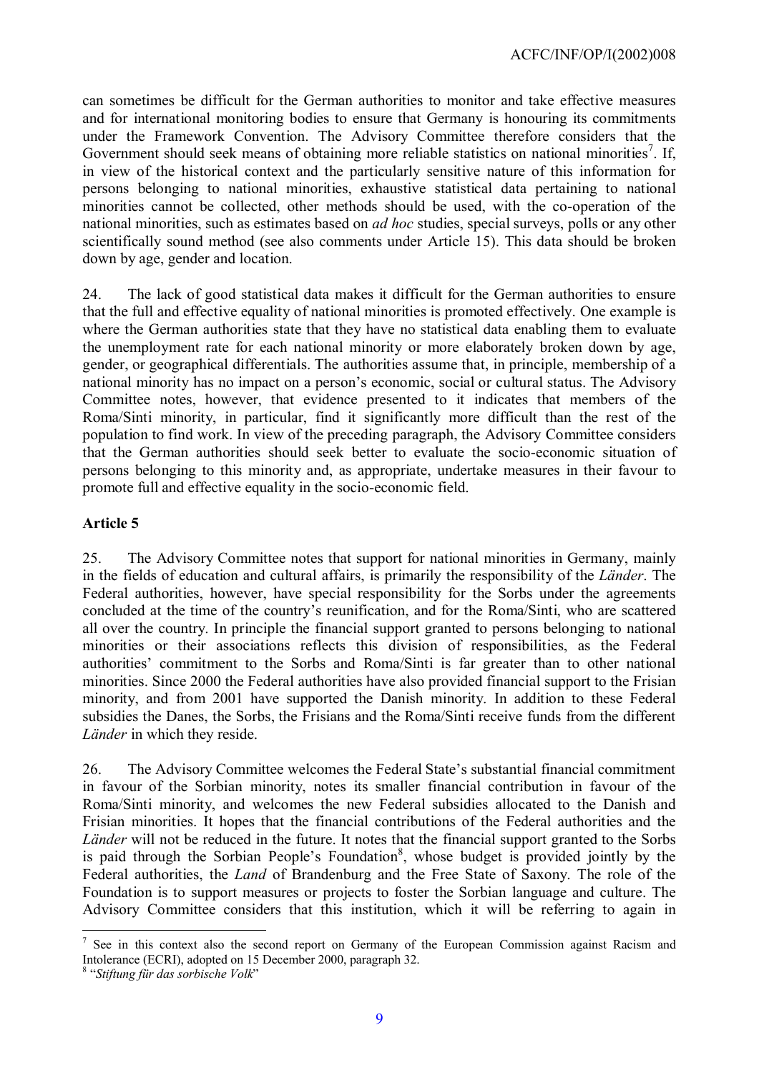can sometimes be difficult for the German authorities to monitor and take effective measures and for international monitoring bodies to ensure that Germany is honouring its commitments under the Framework Convention. The Advisory Committee therefore considers that the Government should seek means of obtaining more reliable statistics on national minorities<sup>[7](#page-8-0)</sup>. If, in view of the historical context and the particularly sensitive nature of this information for persons belonging to national minorities, exhaustive statistical data pertaining to national minorities cannot be collected, other methods should be used, with the co-operation of the national minorities, such as estimates based on *ad hoc* studies, special surveys, polls or any other scientifically sound method (see also comments under Article 15). This data should be broken down by age, gender and location.

24. The lack of good statistical data makes it difficult for the German authorities to ensure that the full and effective equality of national minorities is promoted effectively. One example is where the German authorities state that they have no statistical data enabling them to evaluate the unemployment rate for each national minority or more elaborately broken down by age, gender, or geographical differentials. The authorities assume that, in principle, membership of a national minority has no impact on a person's economic, social or cultural status. The Advisory Committee notes, however, that evidence presented to it indicates that members of the Roma/Sinti minority, in particular, find it significantly more difficult than the rest of the population to find work. In view of the preceding paragraph, the Advisory Committee considers that the German authorities should seek better to evaluate the socio-economic situation of persons belonging to this minority and, as appropriate, undertake measures in their favour to promote full and effective equality in the socio-economic field.

#### **Article 5**

25. The Advisory Committee notes that support for national minorities in Germany, mainly in the fields of education and cultural affairs, is primarily the responsibility of the *Länder*. The Federal authorities, however, have special responsibility for the Sorbs under the agreements concluded at the time of the country's reunification, and for the Roma/Sinti, who are scattered all over the country. In principle the financial support granted to persons belonging to national minorities or their associations reflects this division of responsibilities, as the Federal authorities' commitment to the Sorbs and Roma/Sinti is far greater than to other national minorities. Since 2000 the Federal authorities have also provided financial support to the Frisian minority, and from 2001 have supported the Danish minority. In addition to these Federal subsidies the Danes, the Sorbs, the Frisians and the Roma/Sinti receive funds from the different *Länder* in which they reside.

26. The Advisory Committee welcomes the Federal State's substantial financial commitment in favour of the Sorbian minority, notes its smaller financial contribution in favour of the Roma/Sinti minority, and welcomes the new Federal subsidies allocated to the Danish and Frisian minorities. It hopes that the financial contributions of the Federal authorities and the *Länder* will not be reduced in the future. It notes that the financial support granted to the Sorbs is paid through the Sorbian People's Foundation<sup>[8](#page-8-1)</sup>, whose budget is provided jointly by the Federal authorities, the *Land* of Brandenburg and the Free State of Saxony. The role of the Foundation is to support measures or projects to foster the Sorbian language and culture. The Advisory Committee considers that this institution, which it will be referring to again in

 $\overline{a}$ 

<span id="page-8-0"></span><sup>7</sup> See in this context also the second report on Germany of the European Commission against Racism and Intolerance (ECRI), adopted on 15 December 2000, paragraph 32.

<span id="page-8-1"></span><sup>8</sup> "*Stiftung für das sorbische Volk*"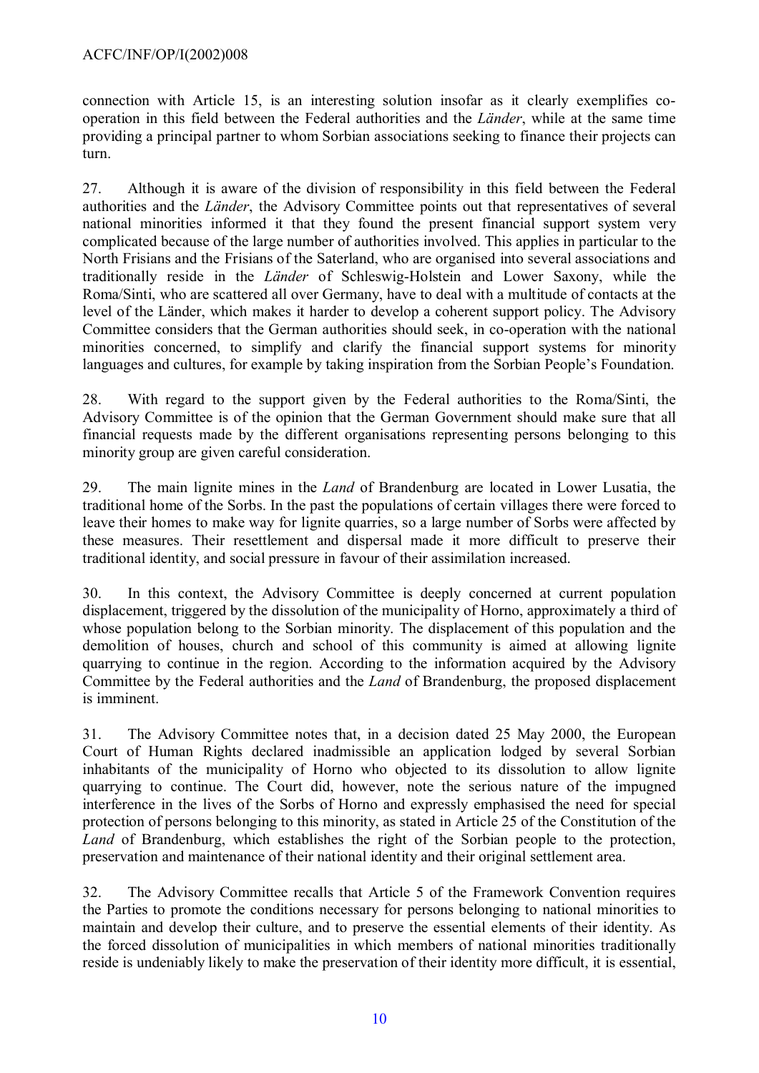connection with Article 15, is an interesting solution insofar as it clearly exemplifies cooperation in this field between the Federal authorities and the *Länder*, while at the same time providing a principal partner to whom Sorbian associations seeking to finance their projects can turn.

27. Although it is aware of the division of responsibility in this field between the Federal authorities and the *Länder*, the Advisory Committee points out that representatives of several national minorities informed it that they found the present financial support system very complicated because of the large number of authorities involved. This applies in particular to the North Frisians and the Frisians of the Saterland, who are organised into several associations and traditionally reside in the *Länder* of Schleswig-Holstein and Lower Saxony, while the Roma/Sinti, who are scattered all over Germany, have to deal with a multitude of contacts at the level of the Länder, which makes it harder to develop a coherent support policy. The Advisory Committee considers that the German authorities should seek, in co-operation with the national minorities concerned, to simplify and clarify the financial support systems for minority languages and cultures, for example by taking inspiration from the Sorbian People's Foundation.

28. With regard to the support given by the Federal authorities to the Roma/Sinti, the Advisory Committee is of the opinion that the German Government should make sure that all financial requests made by the different organisations representing persons belonging to this minority group are given careful consideration.

29. The main lignite mines in the *Land* of Brandenburg are located in Lower Lusatia, the traditional home of the Sorbs. In the past the populations of certain villages there were forced to leave their homes to make way for lignite quarries, so a large number of Sorbs were affected by these measures. Their resettlement and dispersal made it more difficult to preserve their traditional identity, and social pressure in favour of their assimilation increased.

30. In this context, the Advisory Committee is deeply concerned at current population displacement, triggered by the dissolution of the municipality of Horno, approximately a third of whose population belong to the Sorbian minority. The displacement of this population and the demolition of houses, church and school of this community is aimed at allowing lignite quarrying to continue in the region. According to the information acquired by the Advisory Committee by the Federal authorities and the *Land* of Brandenburg, the proposed displacement is imminent.

31. The Advisory Committee notes that, in a decision dated 25 May 2000, the European Court of Human Rights declared inadmissible an application lodged by several Sorbian inhabitants of the municipality of Horno who objected to its dissolution to allow lignite quarrying to continue. The Court did, however, note the serious nature of the impugned interference in the lives of the Sorbs of Horno and expressly emphasised the need for special protection of persons belonging to this minority, as stated in Article 25 of the Constitution of the *Land* of Brandenburg, which establishes the right of the Sorbian people to the protection, preservation and maintenance of their national identity and their original settlement area.

32. The Advisory Committee recalls that Article 5 of the Framework Convention requires the Parties to promote the conditions necessary for persons belonging to national minorities to maintain and develop their culture, and to preserve the essential elements of their identity. As the forced dissolution of municipalities in which members of national minorities traditionally reside is undeniably likely to make the preservation of their identity more difficult, it is essential,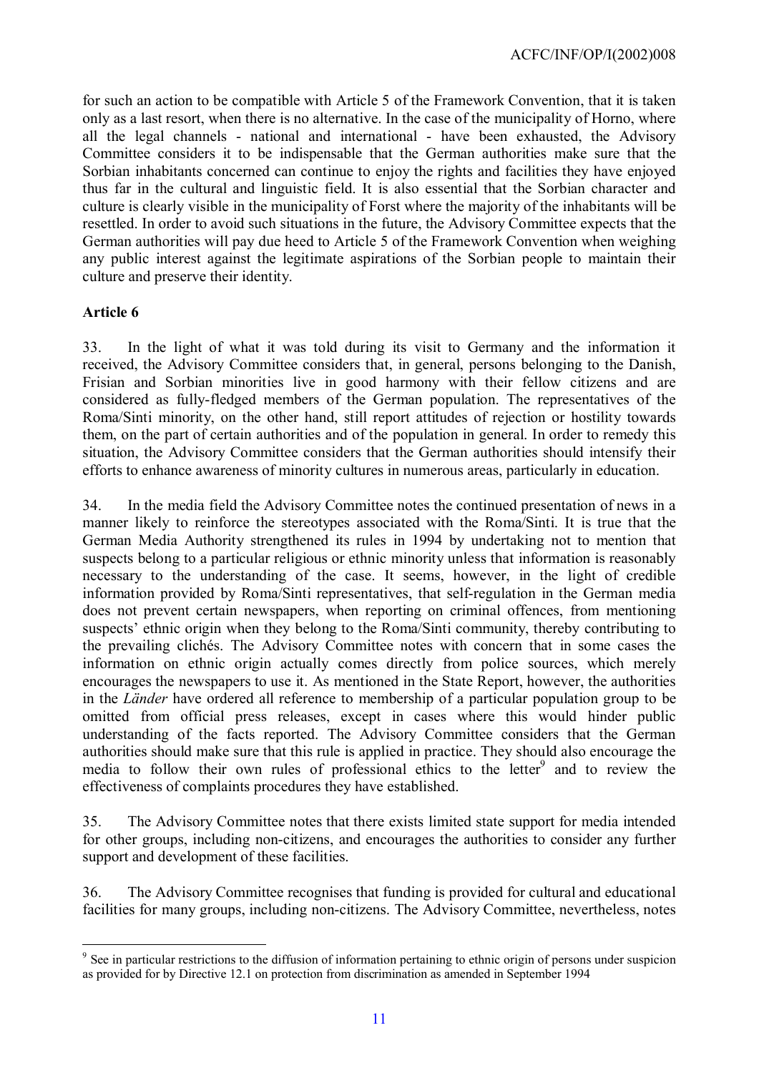for such an action to be compatible with Article 5 of the Framework Convention, that it is taken only as a last resort, when there is no alternative. In the case of the municipality of Horno, where all the legal channels - national and international - have been exhausted, the Advisory Committee considers it to be indispensable that the German authorities make sure that the Sorbian inhabitants concerned can continue to enjoy the rights and facilities they have enjoyed thus far in the cultural and linguistic field. It is also essential that the Sorbian character and culture is clearly visible in the municipality of Forst where the majority of the inhabitants will be resettled. In order to avoid such situations in the future, the Advisory Committee expects that the German authorities will pay due heed to Article 5 of the Framework Convention when weighing any public interest against the legitimate aspirations of the Sorbian people to maintain their culture and preserve their identity.

## **Article 6**

 $\overline{a}$ 

33. In the light of what it was told during its visit to Germany and the information it received, the Advisory Committee considers that, in general, persons belonging to the Danish, Frisian and Sorbian minorities live in good harmony with their fellow citizens and are considered as fully-fledged members of the German population. The representatives of the Roma/Sinti minority, on the other hand, still report attitudes of rejection or hostility towards them, on the part of certain authorities and of the population in general. In order to remedy this situation, the Advisory Committee considers that the German authorities should intensify their efforts to enhance awareness of minority cultures in numerous areas, particularly in education.

34. In the media field the Advisory Committee notes the continued presentation of news in a manner likely to reinforce the stereotypes associated with the Roma/Sinti. It is true that the German Media Authority strengthened its rules in 1994 by undertaking not to mention that suspects belong to a particular religious or ethnic minority unless that information is reasonably necessary to the understanding of the case. It seems, however, in the light of credible information provided by Roma/Sinti representatives, that self-regulation in the German media does not prevent certain newspapers, when reporting on criminal offences, from mentioning suspects' ethnic origin when they belong to the Roma/Sinti community, thereby contributing to the prevailing clichés. The Advisory Committee notes with concern that in some cases the information on ethnic origin actually comes directly from police sources, which merely encourages the newspapers to use it. As mentioned in the State Report, however, the authorities in the *Länder* have ordered all reference to membership of a particular population group to be omitted from official press releases, except in cases where this would hinder public understanding of the facts reported. The Advisory Committee considers that the German authorities should make sure that this rule is applied in practice. They should also encourage the media to follow their own rules of professional ethics to the letter<sup>[9](#page-10-0)</sup> and to review the effectiveness of complaints procedures they have established.

35. The Advisory Committee notes that there exists limited state support for media intended for other groups, including non-citizens, and encourages the authorities to consider any further support and development of these facilities.

36. The Advisory Committee recognises that funding is provided for cultural and educational facilities for many groups, including non-citizens. The Advisory Committee, nevertheless, notes

<span id="page-10-0"></span><sup>&</sup>lt;sup>9</sup> See in particular restrictions to the diffusion of information pertaining to ethnic origin of persons under suspicion as provided for by Directive 12.1 on protection from discrimination as amended in September 1994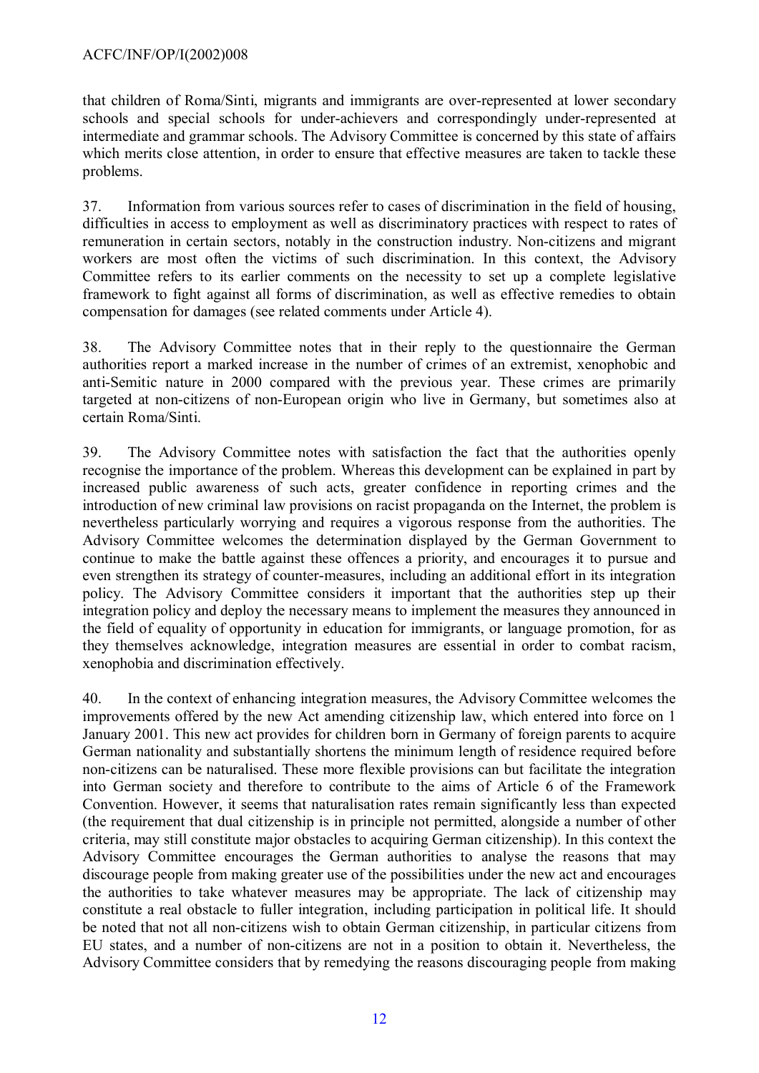that children of Roma/Sinti, migrants and immigrants are over-represented at lower secondary schools and special schools for under-achievers and correspondingly under-represented at intermediate and grammar schools. The Advisory Committee is concerned by this state of affairs which merits close attention, in order to ensure that effective measures are taken to tackle these problems.

37. Information from various sources refer to cases of discrimination in the field of housing, difficulties in access to employment as well as discriminatory practices with respect to rates of remuneration in certain sectors, notably in the construction industry. Non-citizens and migrant workers are most often the victims of such discrimination. In this context, the Advisory Committee refers to its earlier comments on the necessity to set up a complete legislative framework to fight against all forms of discrimination, as well as effective remedies to obtain compensation for damages (see related comments under Article 4).

38. The Advisory Committee notes that in their reply to the questionnaire the German authorities report a marked increase in the number of crimes of an extremist, xenophobic and anti-Semitic nature in 2000 compared with the previous year. These crimes are primarily targeted at non-citizens of non-European origin who live in Germany, but sometimes also at certain Roma/Sinti.

39. The Advisory Committee notes with satisfaction the fact that the authorities openly recognise the importance of the problem. Whereas this development can be explained in part by increased public awareness of such acts, greater confidence in reporting crimes and the introduction of new criminal law provisions on racist propaganda on the Internet, the problem is nevertheless particularly worrying and requires a vigorous response from the authorities. The Advisory Committee welcomes the determination displayed by the German Government to continue to make the battle against these offences a priority, and encourages it to pursue and even strengthen its strategy of counter-measures, including an additional effort in its integration policy. The Advisory Committee considers it important that the authorities step up their integration policy and deploy the necessary means to implement the measures they announced in the field of equality of opportunity in education for immigrants, or language promotion, for as they themselves acknowledge, integration measures are essential in order to combat racism, xenophobia and discrimination effectively.

40. In the context of enhancing integration measures, the Advisory Committee welcomes the improvements offered by the new Act amending citizenship law, which entered into force on 1 January 2001. This new act provides for children born in Germany of foreign parents to acquire German nationality and substantially shortens the minimum length of residence required before non-citizens can be naturalised. These more flexible provisions can but facilitate the integration into German society and therefore to contribute to the aims of Article 6 of the Framework Convention. However, it seems that naturalisation rates remain significantly less than expected (the requirement that dual citizenship is in principle not permitted, alongside a number of other criteria, may still constitute major obstacles to acquiring German citizenship). In this context the Advisory Committee encourages the German authorities to analyse the reasons that may discourage people from making greater use of the possibilities under the new act and encourages the authorities to take whatever measures may be appropriate. The lack of citizenship may constitute a real obstacle to fuller integration, including participation in political life. It should be noted that not all non-citizens wish to obtain German citizenship, in particular citizens from EU states, and a number of non-citizens are not in a position to obtain it. Nevertheless, the Advisory Committee considers that by remedying the reasons discouraging people from making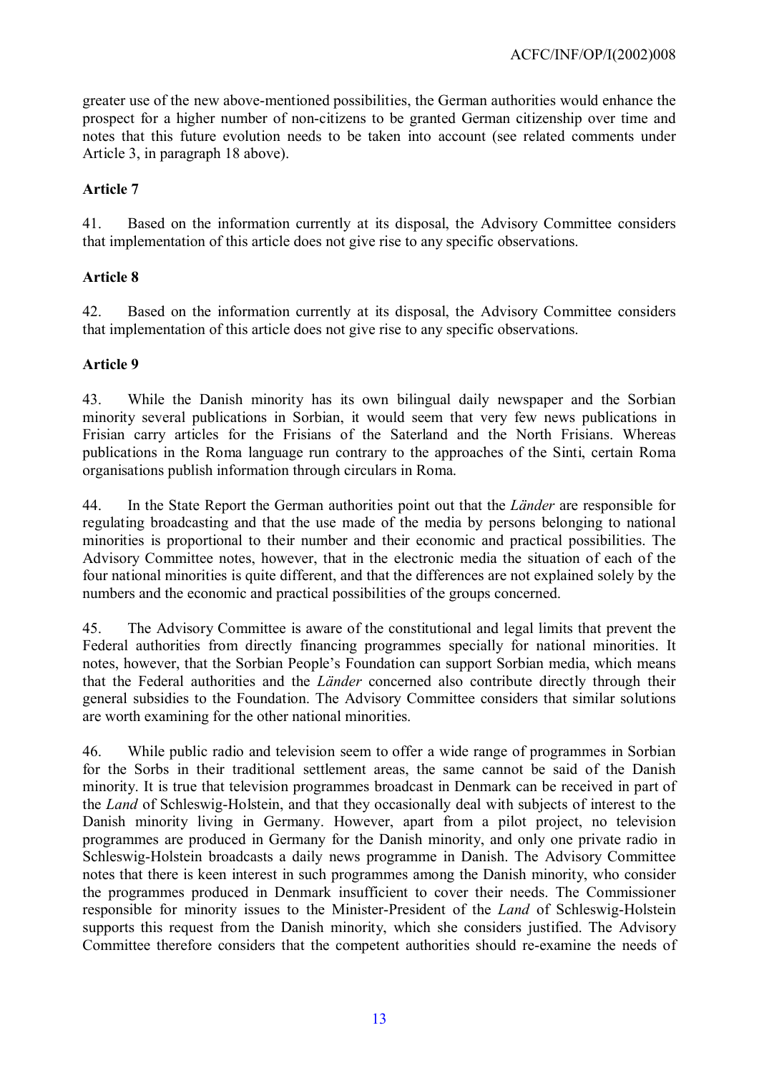greater use of the new above-mentioned possibilities, the German authorities would enhance the prospect for a higher number of non-citizens to be granted German citizenship over time and notes that this future evolution needs to be taken into account (see related comments under Article 3, in paragraph 18 above).

## **Article 7**

41. Based on the information currently at its disposal, the Advisory Committee considers that implementation of this article does not give rise to any specific observations.

## **Article 8**

42. Based on the information currently at its disposal, the Advisory Committee considers that implementation of this article does not give rise to any specific observations.

## **Article 9**

43. While the Danish minority has its own bilingual daily newspaper and the Sorbian minority several publications in Sorbian, it would seem that very few news publications in Frisian carry articles for the Frisians of the Saterland and the North Frisians. Whereas publications in the Roma language run contrary to the approaches of the Sinti, certain Roma organisations publish information through circulars in Roma.

44. In the State Report the German authorities point out that the *Länder* are responsible for regulating broadcasting and that the use made of the media by persons belonging to national minorities is proportional to their number and their economic and practical possibilities. The Advisory Committee notes, however, that in the electronic media the situation of each of the four national minorities is quite different, and that the differences are not explained solely by the numbers and the economic and practical possibilities of the groups concerned.

45. The Advisory Committee is aware of the constitutional and legal limits that prevent the Federal authorities from directly financing programmes specially for national minorities. It notes, however, that the Sorbian People's Foundation can support Sorbian media, which means that the Federal authorities and the *Länder* concerned also contribute directly through their general subsidies to the Foundation. The Advisory Committee considers that similar solutions are worth examining for the other national minorities.

46. While public radio and television seem to offer a wide range of programmes in Sorbian for the Sorbs in their traditional settlement areas, the same cannot be said of the Danish minority. It is true that television programmes broadcast in Denmark can be received in part of the *Land* of Schleswig-Holstein, and that they occasionally deal with subjects of interest to the Danish minority living in Germany. However, apart from a pilot project, no television programmes are produced in Germany for the Danish minority, and only one private radio in Schleswig-Holstein broadcasts a daily news programme in Danish. The Advisory Committee notes that there is keen interest in such programmes among the Danish minority, who consider the programmes produced in Denmark insufficient to cover their needs. The Commissioner responsible for minority issues to the Minister-President of the *Land* of Schleswig-Holstein supports this request from the Danish minority, which she considers justified. The Advisory Committee therefore considers that the competent authorities should re-examine the needs of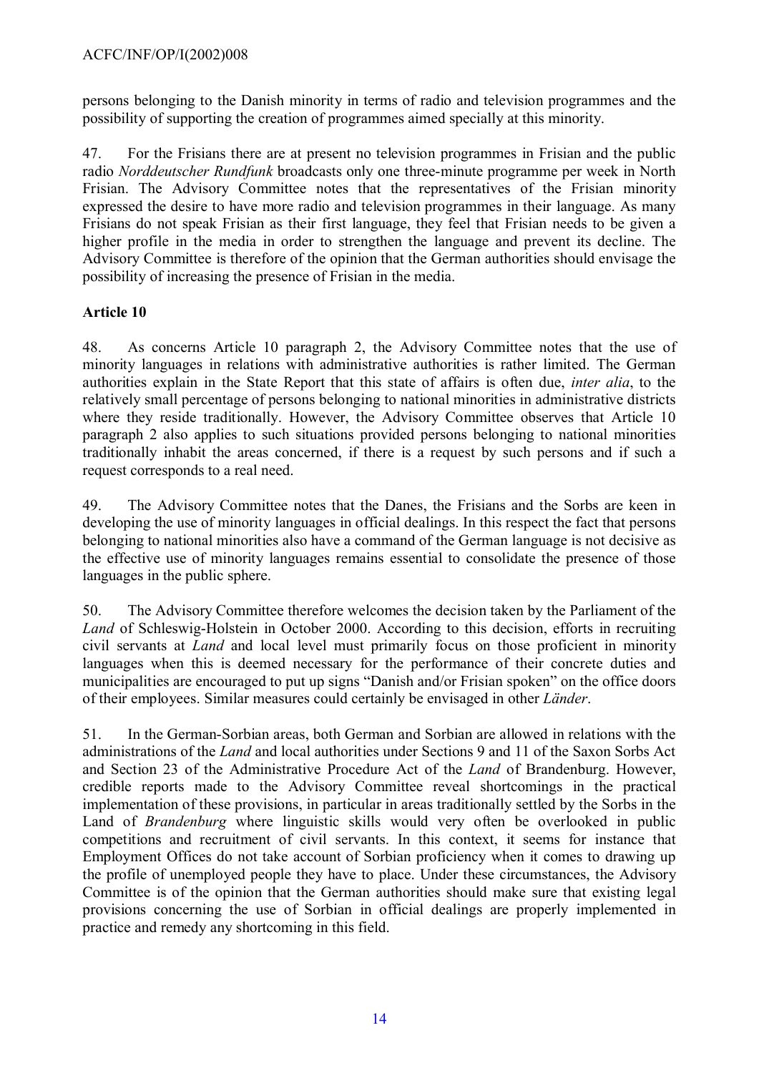persons belonging to the Danish minority in terms of radio and television programmes and the possibility of supporting the creation of programmes aimed specially at this minority.

47. For the Frisians there are at present no television programmes in Frisian and the public radio *Norddeutscher Rundfunk* broadcasts only one three-minute programme per week in North Frisian. The Advisory Committee notes that the representatives of the Frisian minority expressed the desire to have more radio and television programmes in their language. As many Frisians do not speak Frisian as their first language, they feel that Frisian needs to be given a higher profile in the media in order to strengthen the language and prevent its decline. The Advisory Committee is therefore of the opinion that the German authorities should envisage the possibility of increasing the presence of Frisian in the media.

## **Article 10**

48. As concerns Article 10 paragraph 2, the Advisory Committee notes that the use of minority languages in relations with administrative authorities is rather limited. The German authorities explain in the State Report that this state of affairs is often due, *inter alia*, to the relatively small percentage of persons belonging to national minorities in administrative districts where they reside traditionally. However, the Advisory Committee observes that Article 10 paragraph 2 also applies to such situations provided persons belonging to national minorities traditionally inhabit the areas concerned, if there is a request by such persons and if such a request corresponds to a real need.

49. The Advisory Committee notes that the Danes, the Frisians and the Sorbs are keen in developing the use of minority languages in official dealings. In this respect the fact that persons belonging to national minorities also have a command of the German language is not decisive as the effective use of minority languages remains essential to consolidate the presence of those languages in the public sphere.

50. The Advisory Committee therefore welcomes the decision taken by the Parliament of the *Land* of Schleswig-Holstein in October 2000. According to this decision, efforts in recruiting civil servants at *Land* and local level must primarily focus on those proficient in minority languages when this is deemed necessary for the performance of their concrete duties and municipalities are encouraged to put up signs "Danish and/or Frisian spoken" on the office doors of their employees. Similar measures could certainly be envisaged in other *Länder*.

51. In the German-Sorbian areas, both German and Sorbian are allowed in relations with the administrations of the *Land* and local authorities under Sections 9 and 11 of the Saxon Sorbs Act and Section 23 of the Administrative Procedure Act of the *Land* of Brandenburg. However, credible reports made to the Advisory Committee reveal shortcomings in the practical implementation of these provisions, in particular in areas traditionally settled by the Sorbs in the Land of *Brandenburg* where linguistic skills would very often be overlooked in public competitions and recruitment of civil servants. In this context, it seems for instance that Employment Offices do not take account of Sorbian proficiency when it comes to drawing up the profile of unemployed people they have to place. Under these circumstances, the Advisory Committee is of the opinion that the German authorities should make sure that existing legal provisions concerning the use of Sorbian in official dealings are properly implemented in practice and remedy any shortcoming in this field.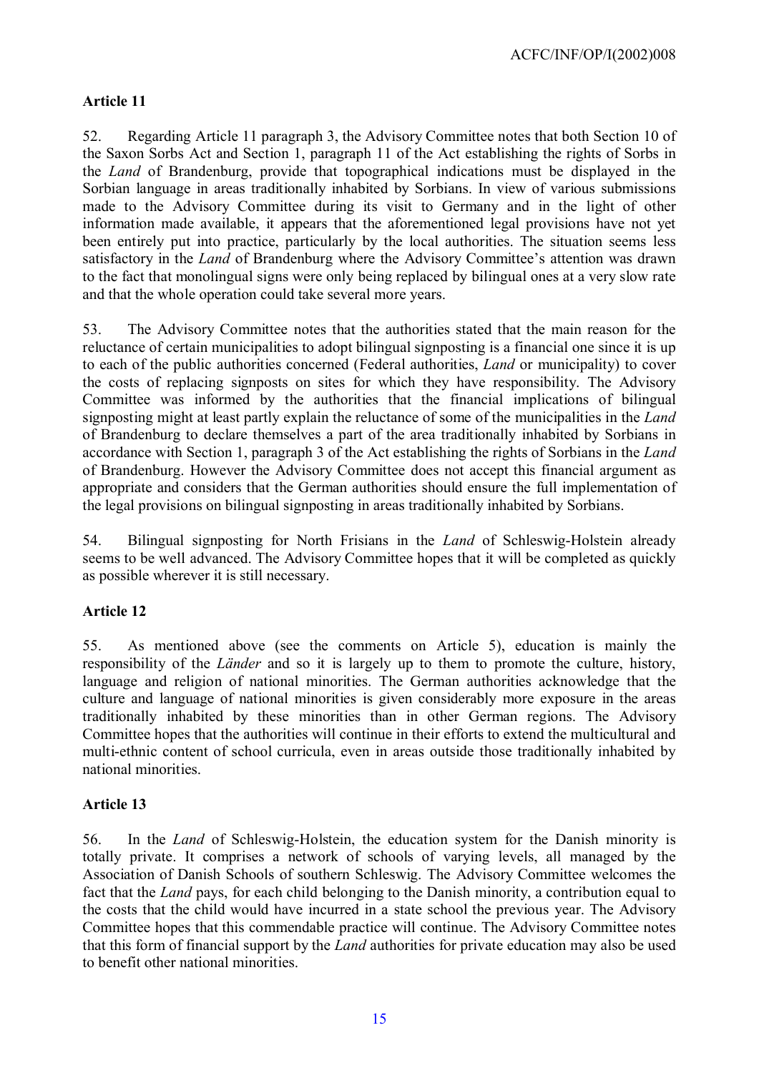## **Article 11**

52. Regarding Article 11 paragraph 3, the Advisory Committee notes that both Section 10 of the Saxon Sorbs Act and Section 1, paragraph 11 of the Act establishing the rights of Sorbs in the *Land* of Brandenburg, provide that topographical indications must be displayed in the Sorbian language in areas traditionally inhabited by Sorbians. In view of various submissions made to the Advisory Committee during its visit to Germany and in the light of other information made available, it appears that the aforementioned legal provisions have not yet been entirely put into practice, particularly by the local authorities. The situation seems less satisfactory in the *Land* of Brandenburg where the Advisory Committee's attention was drawn to the fact that monolingual signs were only being replaced by bilingual ones at a very slow rate and that the whole operation could take several more years.

53. The Advisory Committee notes that the authorities stated that the main reason for the reluctance of certain municipalities to adopt bilingual signposting is a financial one since it is up to each of the public authorities concerned (Federal authorities, *Land* or municipality) to cover the costs of replacing signposts on sites for which they have responsibility. The Advisory Committee was informed by the authorities that the financial implications of bilingual signposting might at least partly explain the reluctance of some of the municipalities in the *Land* of Brandenburg to declare themselves a part of the area traditionally inhabited by Sorbians in accordance with Section 1, paragraph 3 of the Act establishing the rights of Sorbians in the *Land*  of Brandenburg. However the Advisory Committee does not accept this financial argument as appropriate and considers that the German authorities should ensure the full implementation of the legal provisions on bilingual signposting in areas traditionally inhabited by Sorbians.

54. Bilingual signposting for North Frisians in the *Land* of Schleswig-Holstein already seems to be well advanced. The Advisory Committee hopes that it will be completed as quickly as possible wherever it is still necessary.

## **Article 12**

55. As mentioned above (see the comments on Article 5), education is mainly the responsibility of the *Länder* and so it is largely up to them to promote the culture, history, language and religion of national minorities. The German authorities acknowledge that the culture and language of national minorities is given considerably more exposure in the areas traditionally inhabited by these minorities than in other German regions. The Advisory Committee hopes that the authorities will continue in their efforts to extend the multicultural and multi-ethnic content of school curricula, even in areas outside those traditionally inhabited by national minorities.

## **Article 13**

56. In the *Land* of Schleswig-Holstein, the education system for the Danish minority is totally private. It comprises a network of schools of varying levels, all managed by the Association of Danish Schools of southern Schleswig. The Advisory Committee welcomes the fact that the *Land* pays, for each child belonging to the Danish minority, a contribution equal to the costs that the child would have incurred in a state school the previous year. The Advisory Committee hopes that this commendable practice will continue. The Advisory Committee notes that this form of financial support by the *Land* authorities for private education may also be used to benefit other national minorities.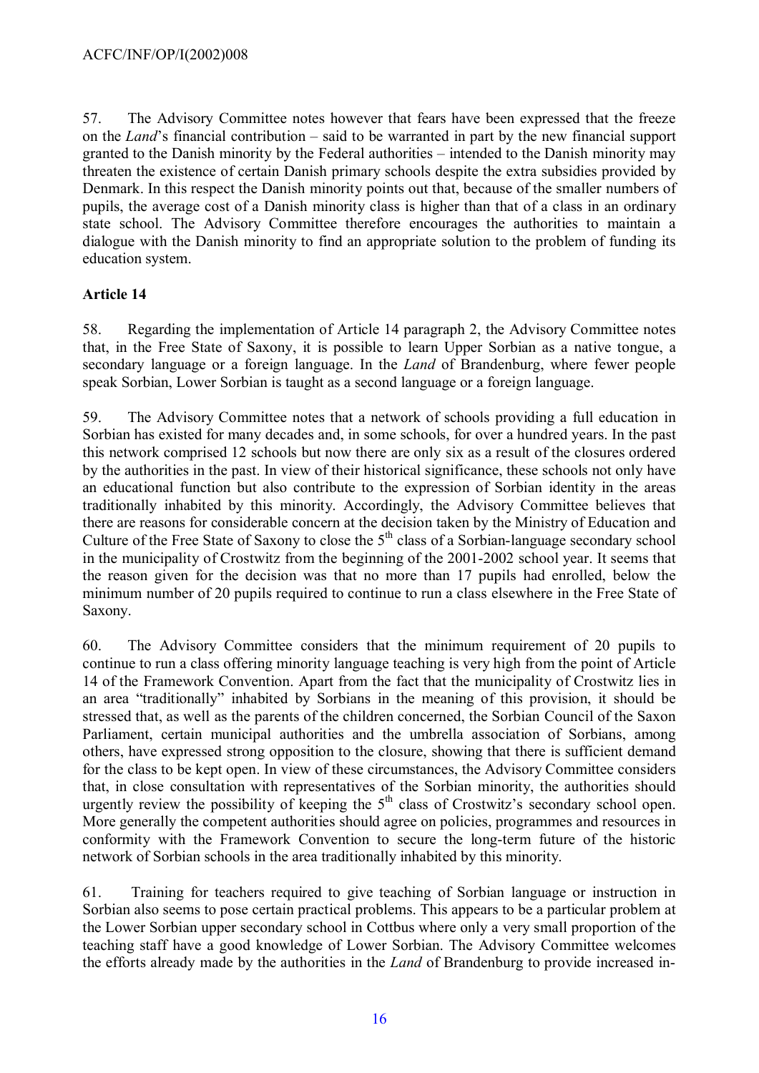57. The Advisory Committee notes however that fears have been expressed that the freeze on the *Land*'s financial contribution – said to be warranted in part by the new financial support granted to the Danish minority by the Federal authorities – intended to the Danish minority may threaten the existence of certain Danish primary schools despite the extra subsidies provided by Denmark. In this respect the Danish minority points out that, because of the smaller numbers of pupils, the average cost of a Danish minority class is higher than that of a class in an ordinary state school. The Advisory Committee therefore encourages the authorities to maintain a dialogue with the Danish minority to find an appropriate solution to the problem of funding its education system.

## **Article 14**

58. Regarding the implementation of Article 14 paragraph 2, the Advisory Committee notes that, in the Free State of Saxony, it is possible to learn Upper Sorbian as a native tongue, a secondary language or a foreign language. In the *Land* of Brandenburg, where fewer people speak Sorbian, Lower Sorbian is taught as a second language or a foreign language.

59. The Advisory Committee notes that a network of schools providing a full education in Sorbian has existed for many decades and, in some schools, for over a hundred years. In the past this network comprised 12 schools but now there are only six as a result of the closures ordered by the authorities in the past. In view of their historical significance, these schools not only have an educational function but also contribute to the expression of Sorbian identity in the areas traditionally inhabited by this minority. Accordingly, the Advisory Committee believes that there are reasons for considerable concern at the decision taken by the Ministry of Education and Culture of the Free State of Saxony to close the  $5<sup>th</sup>$  class of a Sorbian-language secondary school in the municipality of Crostwitz from the beginning of the 2001-2002 school year. It seems that the reason given for the decision was that no more than 17 pupils had enrolled, below the minimum number of 20 pupils required to continue to run a class elsewhere in the Free State of Saxony.

60. The Advisory Committee considers that the minimum requirement of 20 pupils to continue to run a class offering minority language teaching is very high from the point of Article 14 of the Framework Convention. Apart from the fact that the municipality of Crostwitz lies in an area "traditionally" inhabited by Sorbians in the meaning of this provision, it should be stressed that, as well as the parents of the children concerned, the Sorbian Council of the Saxon Parliament, certain municipal authorities and the umbrella association of Sorbians, among others, have expressed strong opposition to the closure, showing that there is sufficient demand for the class to be kept open. In view of these circumstances, the Advisory Committee considers that, in close consultation with representatives of the Sorbian minority, the authorities should urgently review the possibility of keeping the  $5<sup>th</sup>$  class of Crostwitz's secondary school open. More generally the competent authorities should agree on policies, programmes and resources in conformity with the Framework Convention to secure the long-term future of the historic network of Sorbian schools in the area traditionally inhabited by this minority.

61. Training for teachers required to give teaching of Sorbian language or instruction in Sorbian also seems to pose certain practical problems. This appears to be a particular problem at the Lower Sorbian upper secondary school in Cottbus where only a very small proportion of the teaching staff have a good knowledge of Lower Sorbian. The Advisory Committee welcomes the efforts already made by the authorities in the *Land* of Brandenburg to provide increased in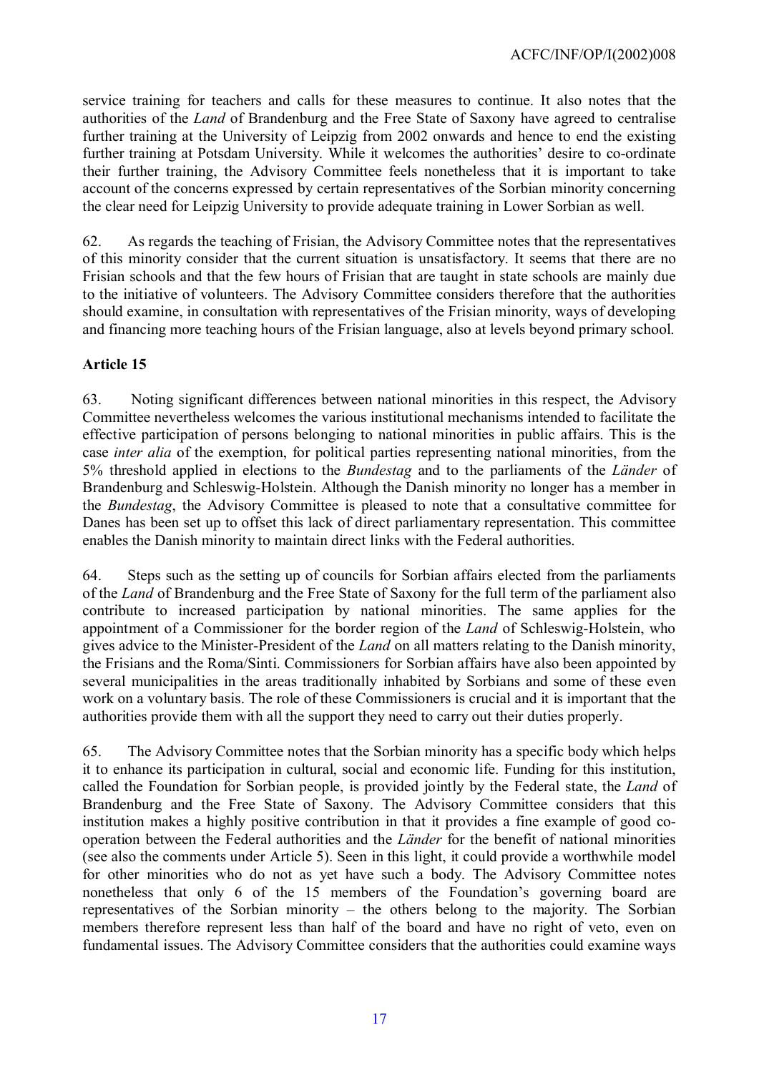service training for teachers and calls for these measures to continue. It also notes that the authorities of the *Land* of Brandenburg and the Free State of Saxony have agreed to centralise further training at the University of Leipzig from 2002 onwards and hence to end the existing further training at Potsdam University. While it welcomes the authorities' desire to co-ordinate their further training, the Advisory Committee feels nonetheless that it is important to take account of the concerns expressed by certain representatives of the Sorbian minority concerning the clear need for Leipzig University to provide adequate training in Lower Sorbian as well.

62. As regards the teaching of Frisian, the Advisory Committee notes that the representatives of this minority consider that the current situation is unsatisfactory. It seems that there are no Frisian schools and that the few hours of Frisian that are taught in state schools are mainly due to the initiative of volunteers. The Advisory Committee considers therefore that the authorities should examine, in consultation with representatives of the Frisian minority, ways of developing and financing more teaching hours of the Frisian language, also at levels beyond primary school.

## **Article 15**

63. Noting significant differences between national minorities in this respect, the Advisory Committee nevertheless welcomes the various institutional mechanisms intended to facilitate the effective participation of persons belonging to national minorities in public affairs. This is the case *inter alia* of the exemption, for political parties representing national minorities, from the 5% threshold applied in elections to the *Bundestag* and to the parliaments of the *Länder* of Brandenburg and Schleswig-Holstein. Although the Danish minority no longer has a member in the *Bundestag*, the Advisory Committee is pleased to note that a consultative committee for Danes has been set up to offset this lack of direct parliamentary representation. This committee enables the Danish minority to maintain direct links with the Federal authorities.

64. Steps such as the setting up of councils for Sorbian affairs elected from the parliaments of the *Land* of Brandenburg and the Free State of Saxony for the full term of the parliament also contribute to increased participation by national minorities. The same applies for the appointment of a Commissioner for the border region of the *Land* of Schleswig-Holstein, who gives advice to the Minister-President of the *Land* on all matters relating to the Danish minority, the Frisians and the Roma/Sinti. Commissioners for Sorbian affairs have also been appointed by several municipalities in the areas traditionally inhabited by Sorbians and some of these even work on a voluntary basis. The role of these Commissioners is crucial and it is important that the authorities provide them with all the support they need to carry out their duties properly.

65. The Advisory Committee notes that the Sorbian minority has a specific body which helps it to enhance its participation in cultural, social and economic life. Funding for this institution, called the Foundation for Sorbian people, is provided jointly by the Federal state, the *Land* of Brandenburg and the Free State of Saxony. The Advisory Committee considers that this institution makes a highly positive contribution in that it provides a fine example of good cooperation between the Federal authorities and the *Länder* for the benefit of national minorities (see also the comments under Article 5). Seen in this light, it could provide a worthwhile model for other minorities who do not as yet have such a body. The Advisory Committee notes nonetheless that only 6 of the 15 members of the Foundation's governing board are representatives of the Sorbian minority – the others belong to the majority. The Sorbian members therefore represent less than half of the board and have no right of veto, even on fundamental issues. The Advisory Committee considers that the authorities could examine ways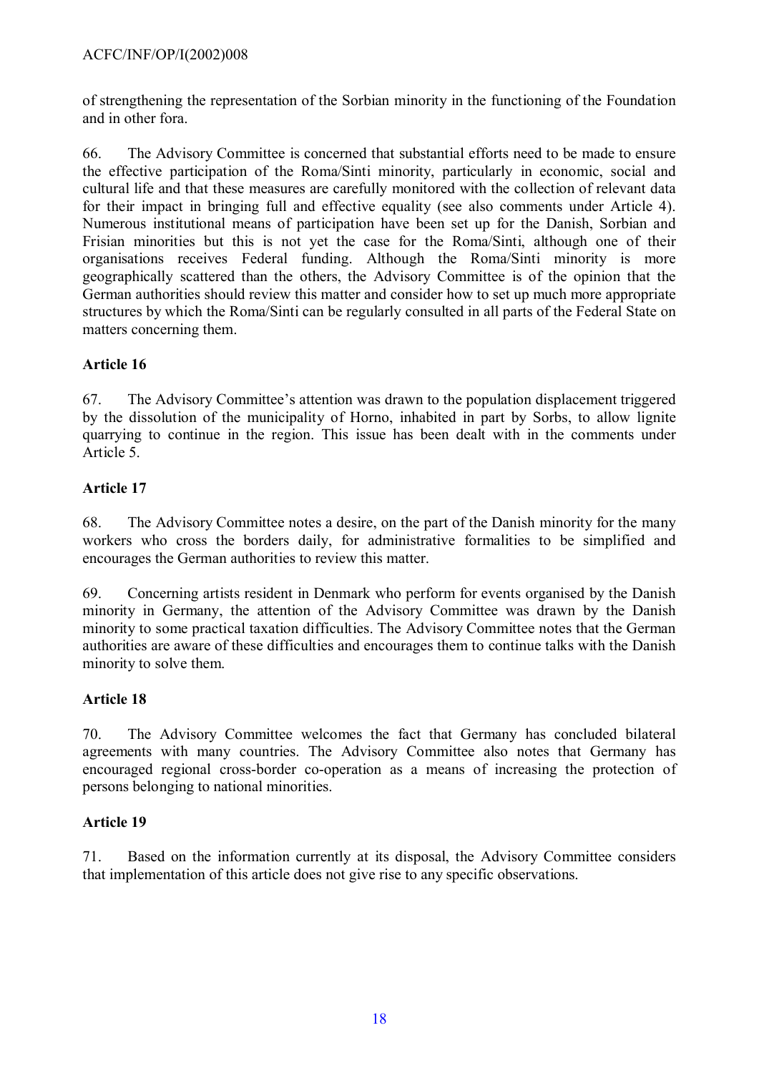of strengthening the representation of the Sorbian minority in the functioning of the Foundation and in other fora.

66. The Advisory Committee is concerned that substantial efforts need to be made to ensure the effective participation of the Roma/Sinti minority, particularly in economic, social and cultural life and that these measures are carefully monitored with the collection of relevant data for their impact in bringing full and effective equality (see also comments under Article 4). Numerous institutional means of participation have been set up for the Danish, Sorbian and Frisian minorities but this is not yet the case for the Roma/Sinti, although one of their organisations receives Federal funding. Although the Roma/Sinti minority is more geographically scattered than the others, the Advisory Committee is of the opinion that the German authorities should review this matter and consider how to set up much more appropriate structures by which the Roma/Sinti can be regularly consulted in all parts of the Federal State on matters concerning them.

# **Article 16**

67. The Advisory Committee's attention was drawn to the population displacement triggered by the dissolution of the municipality of Horno, inhabited in part by Sorbs, to allow lignite quarrying to continue in the region. This issue has been dealt with in the comments under Article 5.

# **Article 17**

68. The Advisory Committee notes a desire, on the part of the Danish minority for the many workers who cross the borders daily, for administrative formalities to be simplified and encourages the German authorities to review this matter.

69. Concerning artists resident in Denmark who perform for events organised by the Danish minority in Germany, the attention of the Advisory Committee was drawn by the Danish minority to some practical taxation difficulties. The Advisory Committee notes that the German authorities are aware of these difficulties and encourages them to continue talks with the Danish minority to solve them.

# **Article 18**

70. The Advisory Committee welcomes the fact that Germany has concluded bilateral agreements with many countries. The Advisory Committee also notes that Germany has encouraged regional cross-border co-operation as a means of increasing the protection of persons belonging to national minorities.

# **Article 19**

71. Based on the information currently at its disposal, the Advisory Committee considers that implementation of this article does not give rise to any specific observations.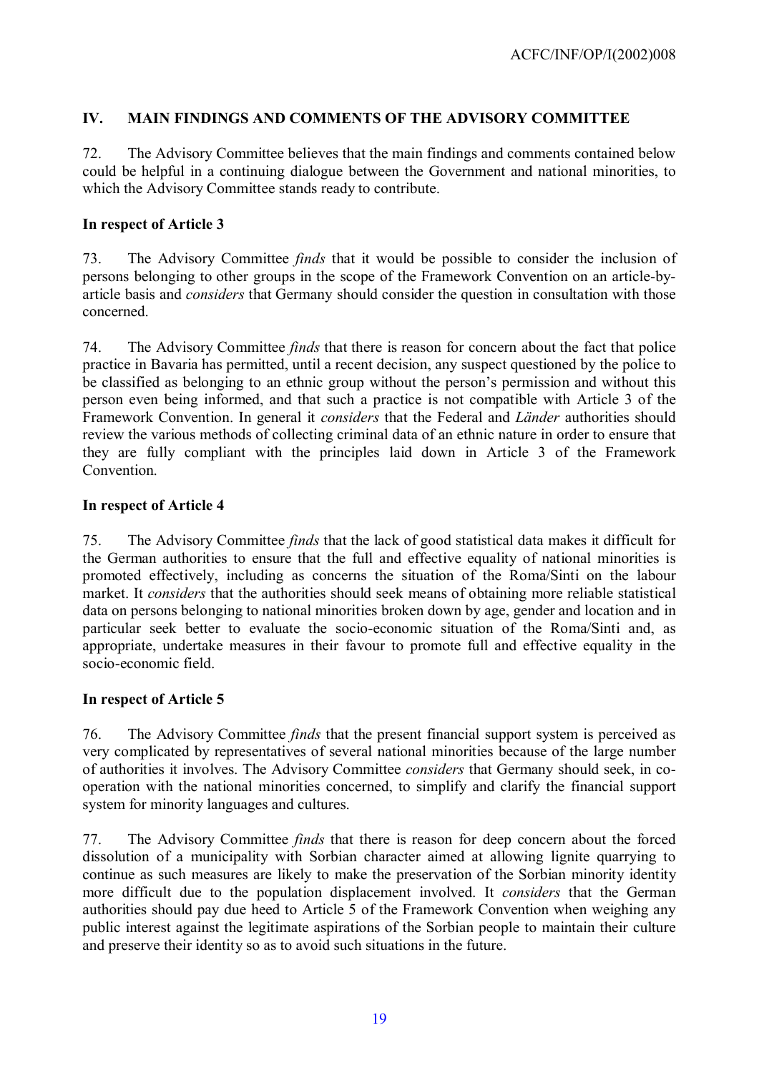## **IV. MAIN FINDINGS AND COMMENTS OF THE ADVISORY COMMITTEE**

72. The Advisory Committee believes that the main findings and comments contained below could be helpful in a continuing dialogue between the Government and national minorities, to which the Advisory Committee stands ready to contribute.

#### **In respect of Article 3**

73. The Advisory Committee *finds* that it would be possible to consider the inclusion of persons belonging to other groups in the scope of the Framework Convention on an article-byarticle basis and *considers* that Germany should consider the question in consultation with those concerned.

74. The Advisory Committee *finds* that there is reason for concern about the fact that police practice in Bavaria has permitted, until a recent decision, any suspect questioned by the police to be classified as belonging to an ethnic group without the person's permission and without this person even being informed, and that such a practice is not compatible with Article 3 of the Framework Convention. In general it *considers* that the Federal and *Länder* authorities should review the various methods of collecting criminal data of an ethnic nature in order to ensure that they are fully compliant with the principles laid down in Article 3 of the Framework **Convention** 

#### **In respect of Article 4**

75. The Advisory Committee *finds* that the lack of good statistical data makes it difficult for the German authorities to ensure that the full and effective equality of national minorities is promoted effectively, including as concerns the situation of the Roma/Sinti on the labour market. It *considers* that the authorities should seek means of obtaining more reliable statistical data on persons belonging to national minorities broken down by age, gender and location and in particular seek better to evaluate the socio-economic situation of the Roma/Sinti and, as appropriate, undertake measures in their favour to promote full and effective equality in the socio-economic field.

#### **In respect of Article 5**

76. The Advisory Committee *finds* that the present financial support system is perceived as very complicated by representatives of several national minorities because of the large number of authorities it involves. The Advisory Committee *considers* that Germany should seek, in cooperation with the national minorities concerned, to simplify and clarify the financial support system for minority languages and cultures.

77. The Advisory Committee *finds* that there is reason for deep concern about the forced dissolution of a municipality with Sorbian character aimed at allowing lignite quarrying to continue as such measures are likely to make the preservation of the Sorbian minority identity more difficult due to the population displacement involved. It *considers* that the German authorities should pay due heed to Article 5 of the Framework Convention when weighing any public interest against the legitimate aspirations of the Sorbian people to maintain their culture and preserve their identity so as to avoid such situations in the future.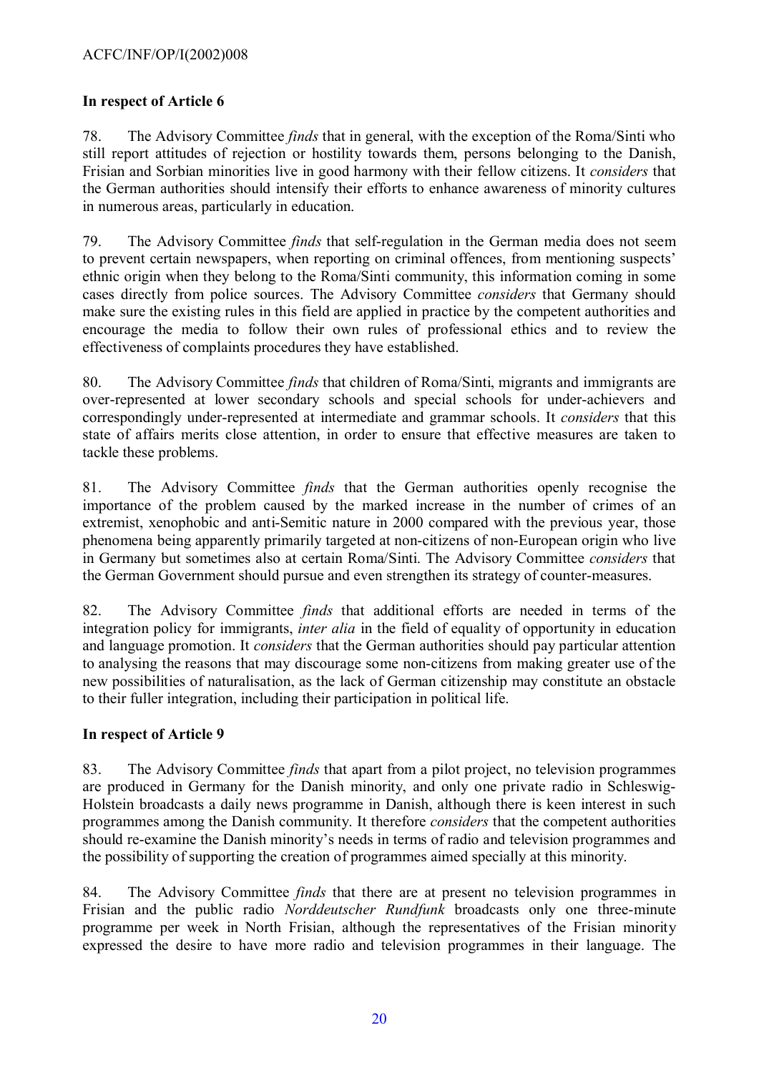## **In respect of Article 6**

78. The Advisory Committee *finds* that in general, with the exception of the Roma/Sinti who still report attitudes of rejection or hostility towards them, persons belonging to the Danish, Frisian and Sorbian minorities live in good harmony with their fellow citizens. It *considers* that the German authorities should intensify their efforts to enhance awareness of minority cultures in numerous areas, particularly in education.

79. The Advisory Committee *finds* that self-regulation in the German media does not seem to prevent certain newspapers, when reporting on criminal offences, from mentioning suspects' ethnic origin when they belong to the Roma/Sinti community, this information coming in some cases directly from police sources. The Advisory Committee *considers* that Germany should make sure the existing rules in this field are applied in practice by the competent authorities and encourage the media to follow their own rules of professional ethics and to review the effectiveness of complaints procedures they have established.

80. The Advisory Committee *finds* that children of Roma/Sinti, migrants and immigrants are over-represented at lower secondary schools and special schools for under-achievers and correspondingly under-represented at intermediate and grammar schools. It *considers* that this state of affairs merits close attention, in order to ensure that effective measures are taken to tackle these problems.

81. The Advisory Committee *finds* that the German authorities openly recognise the importance of the problem caused by the marked increase in the number of crimes of an extremist, xenophobic and anti-Semitic nature in 2000 compared with the previous year, those phenomena being apparently primarily targeted at non-citizens of non-European origin who live in Germany but sometimes also at certain Roma/Sinti. The Advisory Committee *considers* that the German Government should pursue and even strengthen its strategy of counter-measures.

82. The Advisory Committee *finds* that additional efforts are needed in terms of the integration policy for immigrants, *inter alia* in the field of equality of opportunity in education and language promotion. It *considers* that the German authorities should pay particular attention to analysing the reasons that may discourage some non-citizens from making greater use of the new possibilities of naturalisation, as the lack of German citizenship may constitute an obstacle to their fuller integration, including their participation in political life.

## **In respect of Article 9**

83. The Advisory Committee *finds* that apart from a pilot project, no television programmes are produced in Germany for the Danish minority, and only one private radio in Schleswig-Holstein broadcasts a daily news programme in Danish, although there is keen interest in such programmes among the Danish community. It therefore *considers* that the competent authorities should re-examine the Danish minority's needs in terms of radio and television programmes and the possibility of supporting the creation of programmes aimed specially at this minority.

84. The Advisory Committee *finds* that there are at present no television programmes in Frisian and the public radio *Norddeutscher Rundfunk* broadcasts only one three-minute programme per week in North Frisian, although the representatives of the Frisian minority expressed the desire to have more radio and television programmes in their language. The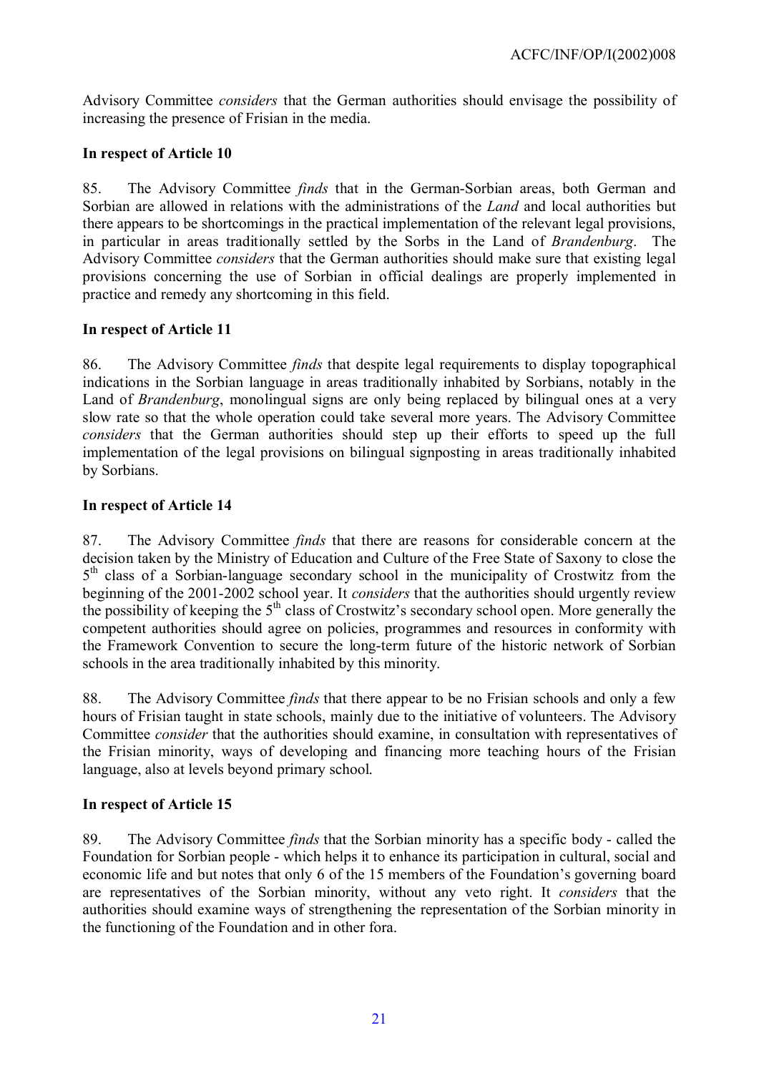Advisory Committee *considers* that the German authorities should envisage the possibility of increasing the presence of Frisian in the media.

## **In respect of Article 10**

85. The Advisory Committee *finds* that in the German-Sorbian areas, both German and Sorbian are allowed in relations with the administrations of the *Land* and local authorities but there appears to be shortcomings in the practical implementation of the relevant legal provisions, in particular in areas traditionally settled by the Sorbs in the Land of *Brandenburg*. The Advisory Committee *considers* that the German authorities should make sure that existing legal provisions concerning the use of Sorbian in official dealings are properly implemented in practice and remedy any shortcoming in this field.

## **In respect of Article 11**

86. The Advisory Committee *finds* that despite legal requirements to display topographical indications in the Sorbian language in areas traditionally inhabited by Sorbians, notably in the Land of *Brandenburg*, monolingual signs are only being replaced by bilingual ones at a very slow rate so that the whole operation could take several more years. The Advisory Committee *considers* that the German authorities should step up their efforts to speed up the full implementation of the legal provisions on bilingual signposting in areas traditionally inhabited by Sorbians.

## **In respect of Article 14**

87. The Advisory Committee *finds* that there are reasons for considerable concern at the decision taken by the Ministry of Education and Culture of the Free State of Saxony to close the 5<sup>th</sup> class of a Sorbian-language secondary school in the municipality of Crostwitz from the beginning of the 2001-2002 school year. It *considers* that the authorities should urgently review the possibility of keeping the 5th class of Crostwitz's secondary school open. More generally the competent authorities should agree on policies, programmes and resources in conformity with the Framework Convention to secure the long-term future of the historic network of Sorbian schools in the area traditionally inhabited by this minority.

88. The Advisory Committee *finds* that there appear to be no Frisian schools and only a few hours of Frisian taught in state schools, mainly due to the initiative of volunteers. The Advisory Committee *consider* that the authorities should examine, in consultation with representatives of the Frisian minority, ways of developing and financing more teaching hours of the Frisian language, also at levels beyond primary school.

# **In respect of Article 15**

89. The Advisory Committee *finds* that the Sorbian minority has a specific body - called the Foundation for Sorbian people - which helps it to enhance its participation in cultural, social and economic life and but notes that only 6 of the 15 members of the Foundation's governing board are representatives of the Sorbian minority, without any veto right. It *considers* that the authorities should examine ways of strengthening the representation of the Sorbian minority in the functioning of the Foundation and in other fora.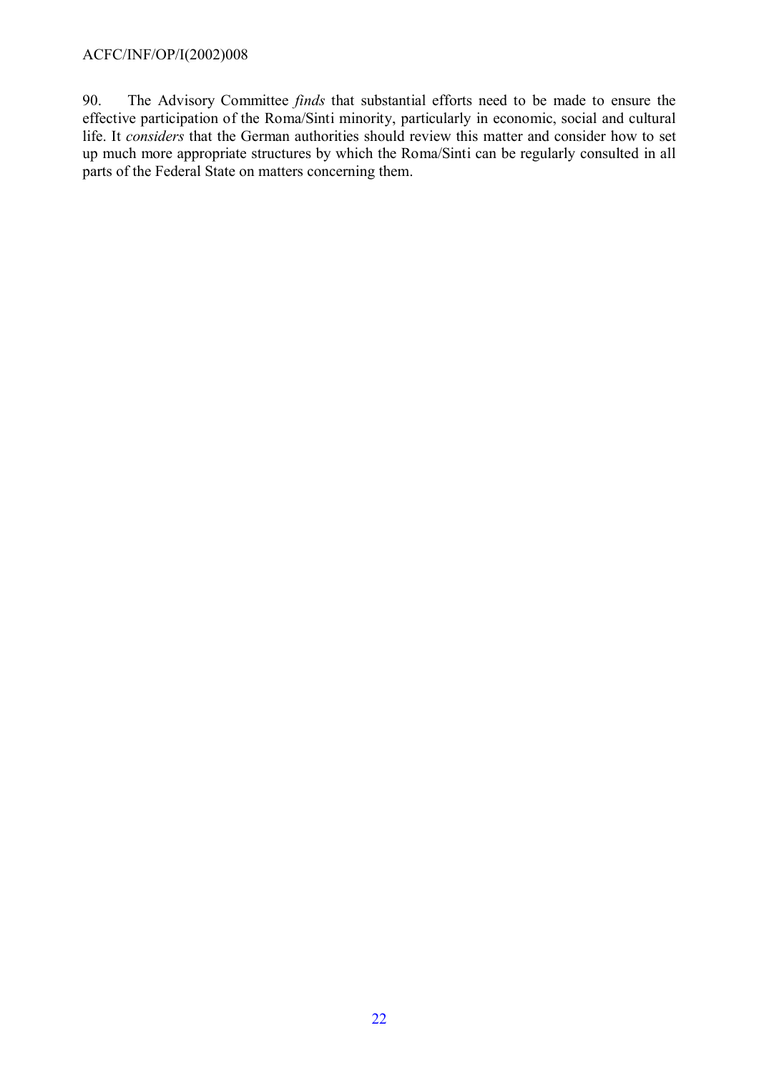90. The Advisory Committee *finds* that substantial efforts need to be made to ensure the effective participation of the Roma/Sinti minority, particularly in economic, social and cultural life. It *considers* that the German authorities should review this matter and consider how to set up much more appropriate structures by which the Roma/Sinti can be regularly consulted in all parts of the Federal State on matters concerning them.